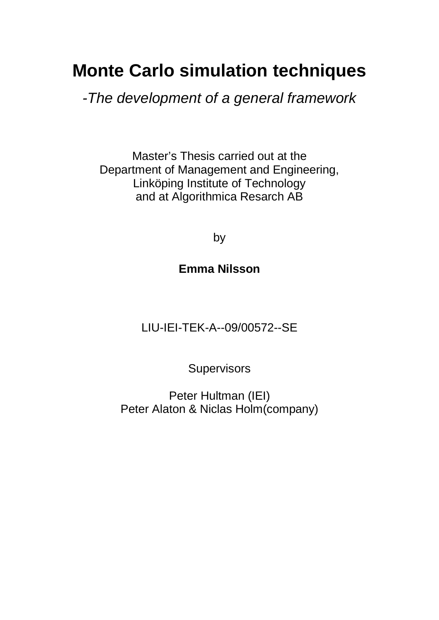# **Monte Carlo simulation techniques**

*-The development of a general framework* 

Master's Thesis carried out at the Department of Management and Engineering, Linköping Institute of Technology and at Algorithmica Resarch AB

by

# **Emma Nilsson**

LIU-IEI-TEK-A--09/00572--SE

**Supervisors** 

Peter Hultman (IEI) Peter Alaton & Niclas Holm(company)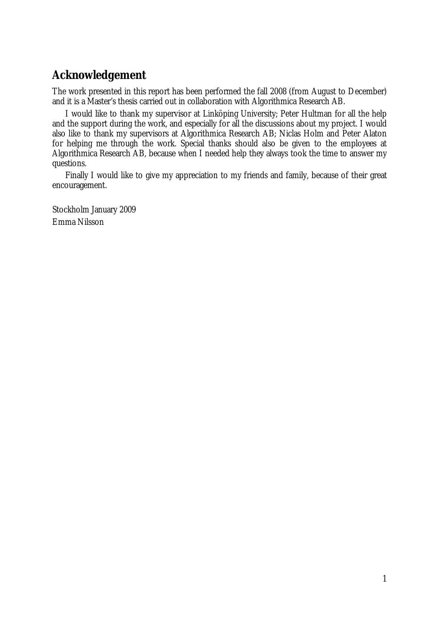# **Acknowledgement**

The work presented in this report has been performed the fall 2008 (from August to December) and it is a Master's thesis carried out in collaboration with Algorithmica Research AB.

I would like to thank my supervisor at Linköping University; Peter Hultman for all the help and the support during the work, and especially for all the discussions about my project. I would also like to thank my supervisors at Algorithmica Research AB; Niclas Holm and Peter Alaton for helping me through the work. Special thanks should also be given to the employees at Algorithmica Research AB, because when I needed help they always took the time to answer my questions.

Finally I would like to give my appreciation to my friends and family, because of their great encouragement.

Stockholm January 2009 Emma Nilsson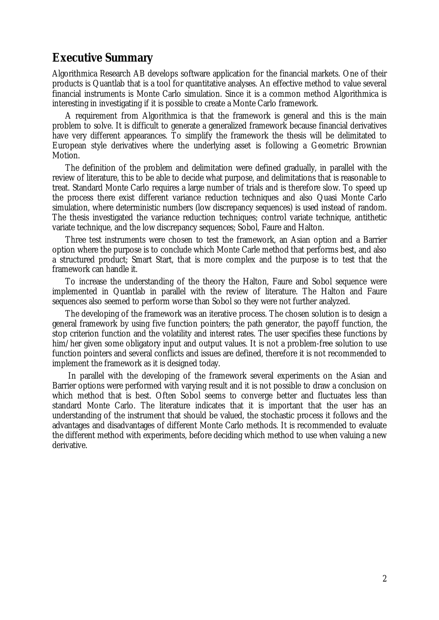### **Executive Summary**

Algorithmica Research AB develops software application for the financial markets. One of their products is Quantlab that is a tool for quantitative analyses. An effective method to value several financial instruments is Monte Carlo simulation. Since it is a common method Algorithmica is interesting in investigating if it is possible to create a Monte Carlo framework.

A requirement from Algorithmica is that the framework is general and this is the main problem to solve. It is difficult to generate a generalized framework because financial derivatives have very different appearances. To simplify the framework the thesis will be delimitated to European style derivatives where the underlying asset is following a Geometric Brownian Motion.

The definition of the problem and delimitation were defined gradually, in parallel with the review of literature, this to be able to decide what purpose, and delimitations that is reasonable to treat. Standard Monte Carlo requires a large number of trials and is therefore slow. To speed up the process there exist different variance reduction techniques and also Quasi Monte Carlo simulation, where deterministic numbers (low discrepancy sequences) is used instead of random. The thesis investigated the variance reduction techniques; control variate technique, antithetic variate technique, and the low discrepancy sequences; Sobol, Faure and Halton.

Three test instruments were chosen to test the framework, an Asian option and a Barrier option where the purpose is to conclude which Monte Carle method that performs best, and also a structured product; Smart Start, that is more complex and the purpose is to test that the framework can handle it.

To increase the understanding of the theory the Halton, Faure and Sobol sequence were implemented in Quantlab in parallel with the review of literature. The Halton and Faure sequences also seemed to perform worse than Sobol so they were not further analyzed.

The developing of the framework was an iterative process. The chosen solution is to design a general framework by using five function pointers; the path generator, the payoff function, the stop criterion function and the volatility and interest rates. The user specifies these functions by him/her given some obligatory input and output values. It is not a problem-free solution to use function pointers and several conflicts and issues are defined, therefore it is not recommended to implement the framework as it is designed today.

In parallel with the developing of the framework several experiments on the Asian and Barrier options were performed with varying result and it is not possible to draw a conclusion on which method that is best. Often Sobol seems to converge better and fluctuates less than standard Monte Carlo. The literature indicates that it is important that the user has an understanding of the instrument that should be valued, the stochastic process it follows and the advantages and disadvantages of different Monte Carlo methods. It is recommended to evaluate the different method with experiments, before deciding which method to use when valuing a new derivative.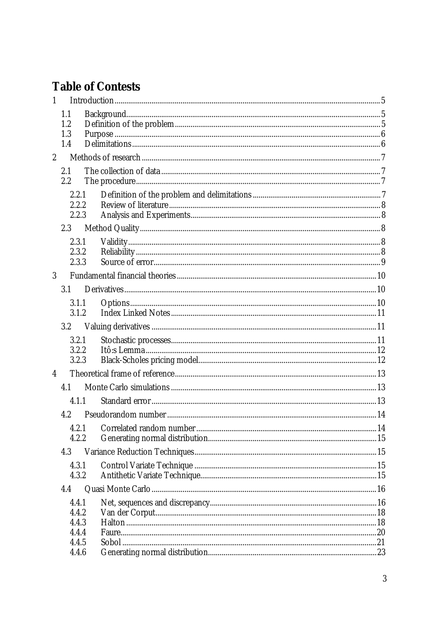# **Table of Contests**

| $\mathbf{1}$            |                |  |
|-------------------------|----------------|--|
|                         | 1.1            |  |
|                         | 1.2            |  |
|                         | 1.3<br>1.4     |  |
|                         |                |  |
| $\mathbf{2}$            |                |  |
|                         | 2.1            |  |
|                         | 2.2            |  |
|                         | 2.2.1          |  |
|                         | 2.2.2          |  |
|                         | 2.2.3          |  |
|                         | 2.3            |  |
|                         | 2.3.1          |  |
|                         | 2.3.2          |  |
|                         | 2.3.3          |  |
| $\overline{3}$          |                |  |
|                         | 3.1            |  |
|                         | 3.1.1          |  |
|                         | 3.1.2          |  |
|                         | $3.2\,$        |  |
|                         | 3.2.1          |  |
|                         | 3.2.2          |  |
|                         | 3.2.3          |  |
| $\overline{\mathbf{4}}$ |                |  |
|                         | 4.1            |  |
|                         | 4.1.1          |  |
|                         | 4.2            |  |
|                         | 4.2.1          |  |
|                         | 4.2.2          |  |
|                         | 4.3            |  |
|                         | 4.3.1          |  |
|                         | 4.3.2          |  |
|                         | 4.4            |  |
|                         | 4.4.1          |  |
|                         | 4.4.2          |  |
|                         | 4.4.3          |  |
|                         | 4.4.4          |  |
|                         | 4.4.5<br>4.4.6 |  |
|                         |                |  |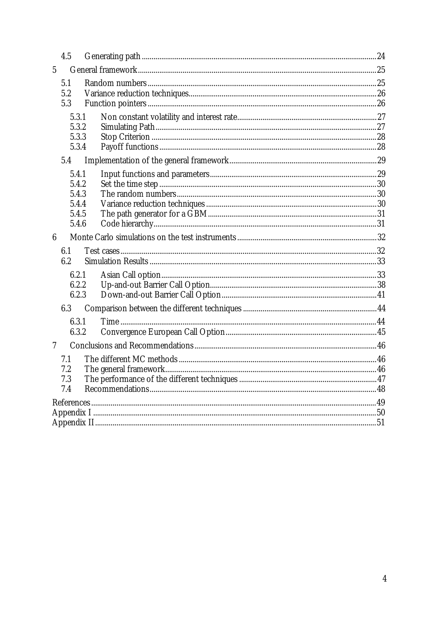|                 | 4.5   |  |
|-----------------|-------|--|
| $\overline{5}$  |       |  |
|                 | 5.1   |  |
|                 | 5.2   |  |
|                 | 5.3   |  |
|                 | 5.3.1 |  |
|                 | 5.3.2 |  |
|                 | 5.3.3 |  |
|                 | 5.3.4 |  |
|                 | 5.4   |  |
|                 | 5.4.1 |  |
|                 | 5.4.2 |  |
|                 | 5.4.3 |  |
|                 | 5.4.4 |  |
|                 | 5.4.5 |  |
|                 | 5.4.6 |  |
| $6\phantom{.}6$ |       |  |
|                 | 6.1   |  |
|                 | 6.2   |  |
|                 | 6.2.1 |  |
|                 | 6.2.2 |  |
|                 | 6.2.3 |  |
|                 | 6.3   |  |
|                 | 6.3.1 |  |
|                 | 6.3.2 |  |
| 7               |       |  |
|                 | 7.1   |  |
|                 | 7.2   |  |
|                 | 7.3   |  |
|                 | 7.4   |  |
|                 |       |  |
|                 |       |  |
|                 |       |  |
|                 |       |  |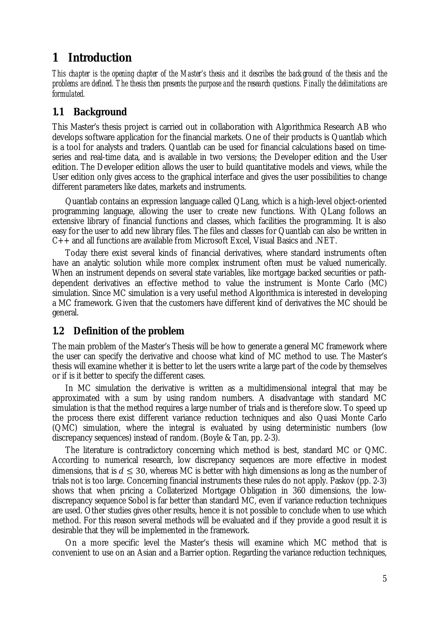### **1 Introduction**

This chapter is the opening chapter of the Master's thesis and it describes the background of the thesis and the problems are defined. The thesis then presents the purpose and the research questions. Finally the delimitations are *formulated.* 

### **1.1 Background**

This Master's thesis project is carried out in collaboration with Algorithmica Research AB who develops software application for the financial markets. One of their products is Quantlab which is a tool for analysts and traders. Quantlab can be used for financial calculations based on timeseries and real-time data, and is available in two versions; the Developer edition and the User edition. The Developer edition allows the user to build quantitative models and views, while the User edition only gives access to the graphical interface and gives the user possibilities to change different parameters like dates, markets and instruments.

Quantlab contains an expression language called QLang, which is a high-level object-oriented programming language, allowing the user to create new functions. With QLang follows an extensive library of financial functions and classes, which facilities the programming. It is also easy for the user to add new library files. The files and classes for Quantlab can also be written in C++ and all functions are available from Microsoft Excel, Visual Basics and .NET.

Today there exist several kinds of financial derivatives, where standard instruments often have an analytic solution while more complex instrument often must be valued numerically. When an instrument depends on several state variables, like mortgage backed securities or pathdependent derivatives an effective method to value the instrument is Monte Carlo (MC) simulation. Since MC simulation is a very useful method Algorithmica is interested in developing a MC framework. Given that the customers have different kind of derivatives the MC should be general.

### **1.2 Definition of the problem**

The main problem of the Master's Thesis will be how to generate a general MC framework where the user can specify the derivative and choose what kind of MC method to use. The Master's thesis will examine whether it is better to let the users write a large part of the code by themselves or if is it better to specify the different cases.

In MC simulation the derivative is written as a multidimensional integral that may be approximated with a sum by using random numbers. A disadvantage with standard MC simulation is that the method requires a large number of trials and is therefore slow. To speed up the process there exist different variance reduction techniques and also Quasi Monte Carlo (QMC) simulation, where the integral is evaluated by using deterministic numbers (low discrepancy sequences) instead of random. (Boyle & Tan, pp. 2-3).

The literature is contradictory concerning which method is best, standard MC or QMC. According to numerical research, low discrepancy sequences are more effective in modest dimensions, that is  $d \leq 30$ , whereas MC is better with high dimensions as long as the number of trials not is too large. Concerning financial instruments these rules do not apply. Paskov (pp. 2-3) shows that when pricing a Collaterized Mortgage Obligation in 360 dimensions, the lowdiscrepancy sequence Sobol is far better than standard MC, even if variance reduction techniques are used. Other studies gives other results, hence it is not possible to conclude when to use which method. For this reason several methods will be evaluated and if they provide a good result it is desirable that they will be implemented in the framework.

On a more specific level the Master's thesis will examine which MC method that is convenient to use on an Asian and a Barrier option. Regarding the variance reduction techniques,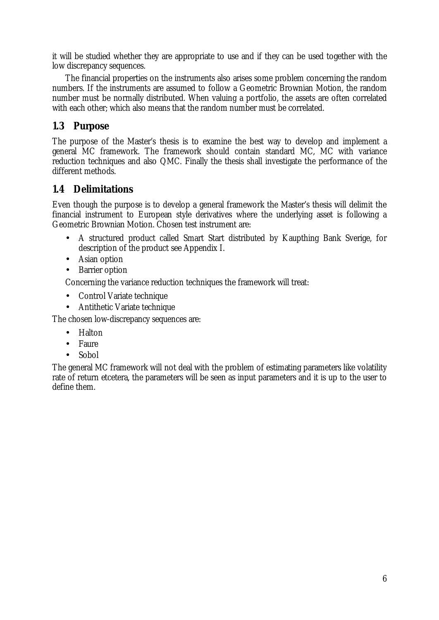it will be studied whether they are appropriate to use and if they can be used together with the low discrepancy sequences.

The financial properties on the instruments also arises some problem concerning the random numbers. If the instruments are assumed to follow a Geometric Brownian Motion, the random number must be normally distributed. When valuing a portfolio, the assets are often correlated with each other; which also means that the random number must be correlated.

### **1.3 Purpose**

The purpose of the Master's thesis is to examine the best way to develop and implement a general MC framework. The framework should contain standard MC, MC with variance reduction techniques and also QMC. Finally the thesis shall investigate the performance of the different methods.

### **1.4 Delimitations**

Even though the purpose is to develop a general framework the Master's thesis will delimit the financial instrument to European style derivatives where the underlying asset is following a Geometric Brownian Motion. Chosen test instrument are:

- A structured product called Smart Start distributed by Kaupthing Bank Sverige, for description of the product see Appendix I.
- Asian option
- Barrier option

Concerning the variance reduction techniques the framework will treat:

- Control Variate technique
- Antithetic Variate technique

The chosen low-discrepancy sequences are:

- Halton
- Faure
- Sobol

The general MC framework will not deal with the problem of estimating parameters like volatility rate of return etcetera, the parameters will be seen as input parameters and it is up to the user to define them.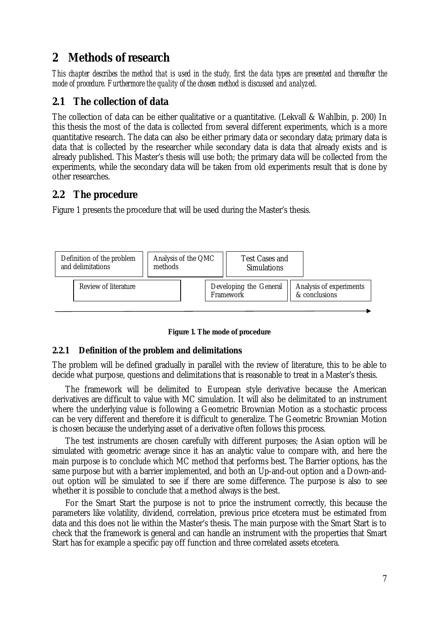# **2 Methods of research**

This chapter describes the method that is used in the study, first the data types are presented and thereafter the *mode of procedure. Furthermore the quality of the chosen method is discussed and analyzed*.

### **2.1 The collection of data**

The collection of data can be either qualitative or a quantitative. (Lekvall & Wahlbin, p. 200) In this thesis the most of the data is collected from several different experiments, which is a more quantitative research. The data can also be either primary data or secondary data; primary data is data that is collected by the researcher while secondary data is data that already exists and is already published. This Master's thesis will use both; the primary data will be collected from the experiments, while the secondary data will be taken from old experiments result that is done by other researches.

### **2.2 The procedure**

Figure 1 presents the procedure that will be used during the Master's thesis.





### **2.2.1 Definition of the problem and delimitations**

The problem will be defined gradually in parallel with the review of literature, this to be able to decide what purpose, questions and delimitations that is reasonable to treat in a Master's thesis.

The framework will be delimited to European style derivative because the American derivatives are difficult to value with MC simulation. It will also be delimitated to an instrument where the underlying value is following a Geometric Brownian Motion as a stochastic process can be very different and therefore it is difficult to generalize. The Geometric Brownian Motion is chosen because the underlying asset of a derivative often follows this process.

The test instruments are chosen carefully with different purposes; the Asian option will be simulated with geometric average since it has an analytic value to compare with, and here the main purpose is to conclude which MC method that performs best. The Barrier options, has the same purpose but with a barrier implemented, and both an Up-and-out option and a Down-andout option will be simulated to see if there are some difference. The purpose is also to see whether it is possible to conclude that a method always is the best.

For the Smart Start the purpose is not to price the instrument correctly, this because the parameters like volatility, dividend, correlation, previous price etcetera must be estimated from data and this does not lie within the Master's thesis. The main purpose with the Smart Start is to check that the framework is general and can handle an instrument with the properties that Smart Start has for example a specific pay off function and three correlated assets etcetera.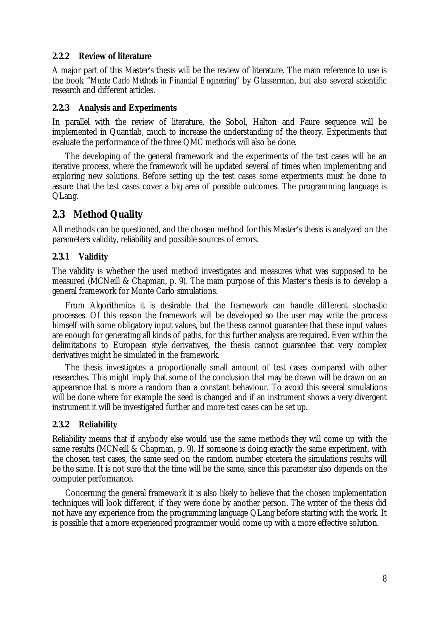### **2.2.2 Review of literature**

A major part of this Master's thesis will be the review of literature. The main reference to use is the book "*Monte Carlo Methods in Financial Engineering*" by Glasserman, but also several scientific research and different articles.

### **2.2.3 Analysis and Experiments**

In parallel with the review of literature, the Sobol, Halton and Faure sequence will be implemented in Quantlab, much to increase the understanding of the theory. Experiments that evaluate the performance of the three QMC methods will also be done.

The developing of the general framework and the experiments of the test cases will be an iterative process, where the framework will be updated several of times when implementing and exploring new solutions. Before setting up the test cases some experiments must be done to assure that the test cases cover a big area of possible outcomes. The programming language is QLang.

### **2.3 Method Quality**

All methods can be questioned, and the chosen method for this Master's thesis is analyzed on the parameters validity, reliability and possible sources of errors.

### **2.3.1 Validity**

The validity is whether the used method investigates and measures what was supposed to be measured (MCNeill & Chapman, p. 9). The main purpose of this Master's thesis is to develop a general framework for Monte Carlo simulations.

From Algorithmica it is desirable that the framework can handle different stochastic processes. Of this reason the framework will be developed so the user may write the process himself with some obligatory input values, but the thesis cannot guarantee that these input values are enough for generating all kinds of paths, for this further analysis are required. Even within the delimitations to European style derivatives, the thesis cannot guarantee that very complex derivatives might be simulated in the framework.

The thesis investigates a proportionally small amount of test cases compared with other researches. This might imply that some of the conclusion that may be drawn will be drawn on an appearance that is more a random than a constant behaviour. To avoid this several simulations will be done where for example the seed is changed and if an instrument shows a very divergent instrument it will be investigated further and more test cases can be set up.

### **2.3.2 Reliability**

Reliability means that if anybody else would use the same methods they will come up with the same results (MCNeill & Chapman, p. 9). If someone is doing exactly the same experiment, with the chosen test cases, the same seed on the random number etcetera the simulations results will be the same. It is not sure that the time will be the same, since this parameter also depends on the computer performance.

Concerning the general framework it is also likely to believe that the chosen implementation techniques will look different, if they were done by another person. The writer of the thesis did not have any experience from the programming language QLang before starting with the work. It is possible that a more experienced programmer would come up with a more effective solution.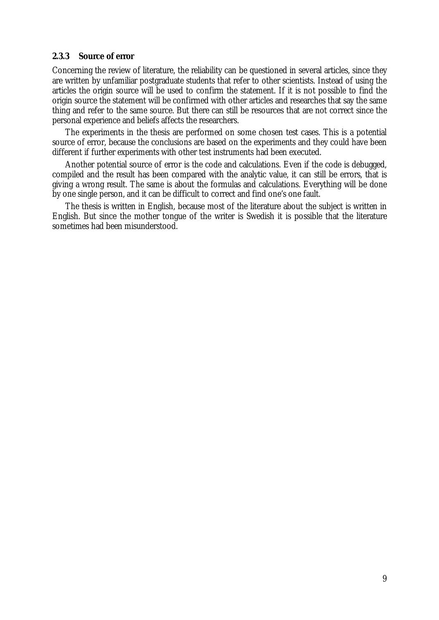#### **2.3.3 Source of error**

Concerning the review of literature, the reliability can be questioned in several articles, since they are written by unfamiliar postgraduate students that refer to other scientists. Instead of using the articles the origin source will be used to confirm the statement. If it is not possible to find the origin source the statement will be confirmed with other articles and researches that say the same thing and refer to the same source. But there can still be resources that are not correct since the personal experience and beliefs affects the researchers.

The experiments in the thesis are performed on some chosen test cases. This is a potential source of error, because the conclusions are based on the experiments and they could have been different if further experiments with other test instruments had been executed.

Another potential source of error is the code and calculations. Even if the code is debugged, compiled and the result has been compared with the analytic value, it can still be errors, that is giving a wrong result. The same is about the formulas and calculations. Everything will be done by one single person, and it can be difficult to correct and find one's one fault.

The thesis is written in English, because most of the literature about the subject is written in English. But since the mother tongue of the writer is Swedish it is possible that the literature sometimes had been misunderstood.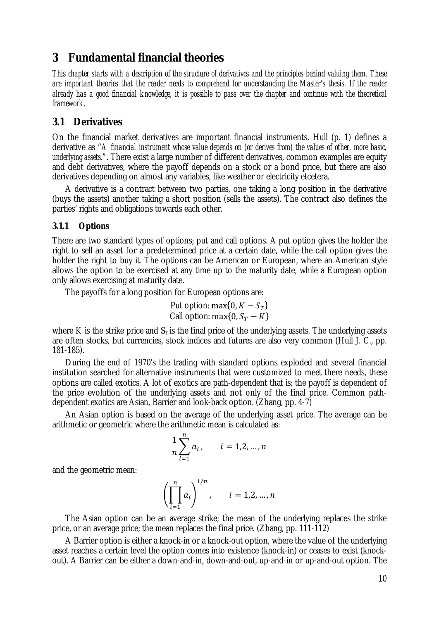### **3 Fundamental financial theories**

This chapter starts with a description of the structure of derivatives and the principles behind valuing them. These are important theories that the reader needs to comprehend for understanding the Master's thesis. If the reader already has a good financial knowledge, it is possible to pass over the chapter and continue with the theoretical *framework.* 

### **3.1 Derivatives**

On the financial market derivatives are important financial instruments. Hull (p. 1) defines a derivative as "*A financial instrument whose value depends on (or derives from) the values of other, more basic, underlying assets."*. There exist a large number of different derivatives, common examples are equity and debt derivatives, where the payoff depends on a stock or a bond price, but there are also derivatives depending on almost any variables, like weather or electricity etcetera.

A derivative is a contract between two parties, one taking a long position in the derivative (buys the assets) another taking a short position (sells the assets). The contract also defines the parties' rights and obligations towards each other.

### **3.1.1 Options**

There are two standard types of options; put and call options. A put option gives the holder the right to sell an asset for a predetermined price at a certain date, while the call option gives the holder the right to buy it. The options can be American or European, where an American style allows the option to be exercised at any time up to the maturity date, while a European option only allows exercising at maturity date.

The payoffs for a long position for European options are:

Put option: max $\{0, K - S_T\}$ Call option: max $\{0, S_T - K\}$ 

where K is the strike price and  $S_T$  is the final price of the underlying assets. The underlying assets are often stocks, but currencies, stock indices and futures are also very common (Hull J. C., pp. 181-185).

During the end of 1970's the trading with standard options exploded and several financial institution searched for alternative instruments that were customized to meet there needs, these options are called exotics. A lot of exotics are path-dependent that is; the payoff is dependent of the price evolution of the underlying assets and not only of the final price. Common pathdependent exotics are Asian, Barrier and look-back option. (Zhang, pp. 4-7)

An Asian option is based on the average of the underlying asset price. The average can be arithmetic or geometric where the arithmetic mean is calculated as:

$$
\frac{1}{n}\sum_{i=1}^{n}a_{i}, \qquad i = 1,2,...,n
$$

and the geometric mean:

$$
\left(\prod_{i=1}^n a_i\right)^{1/n}, \qquad i=1,2,\ldots,n
$$

The Asian option can be an average strike; the mean of the underlying replaces the strike price, or an average price; the mean replaces the final price. (Zhang, pp. 111-112)

A Barrier option is either a knock-in or a knock-out option, where the value of the underlying asset reaches a certain level the option comes into existence (knock-in) or ceases to exist (knockout). A Barrier can be either a down-and-in, down-and-out, up-and-in or up-and-out option. The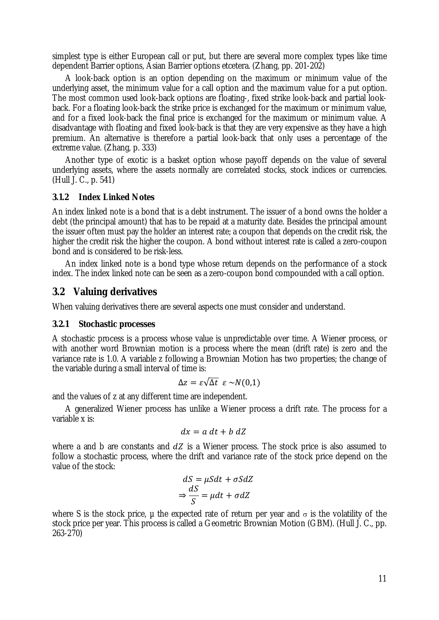simplest type is either European call or put, but there are several more complex types like time dependent Barrier options, Asian Barrier options etcetera. (Zhang, pp. 201-202)

A look-back option is an option depending on the maximum or minimum value of the underlying asset, the minimum value for a call option and the maximum value for a put option. The most common used look-back options are floating-, fixed strike look-back and partial lookback. For a floating look-back the strike price is exchanged for the maximum or minimum value, and for a fixed look-back the final price is exchanged for the maximum or minimum value. A disadvantage with floating and fixed look-back is that they are very expensive as they have a high premium. An alternative is therefore a partial look-back that only uses a percentage of the extreme value. (Zhang, p. 333)

Another type of exotic is a basket option whose payoff depends on the value of several underlying assets, where the assets normally are correlated stocks, stock indices or currencies. (Hull J. C., p. 541)

### **3.1.2 Index Linked Notes**

An index linked note is a bond that is a debt instrument. The issuer of a bond owns the holder a debt (the principal amount) that has to be repaid at a maturity date. Besides the principal amount the issuer often must pay the holder an interest rate; a coupon that depends on the credit risk, the higher the credit risk the higher the coupon. A bond without interest rate is called a zero-coupon bond and is considered to be risk-less.

An index linked note is a bond type whose return depends on the performance of a stock index. The index linked note can be seen as a zero-coupon bond compounded with a call option.

### **3.2 Valuing derivatives**

When valuing derivatives there are several aspects one must consider and understand.

#### **3.2.1 Stochastic processes**

A stochastic process is a process whose value is unpredictable over time. A Wiener process, or with another word Brownian motion is a process where the mean (drift rate) is zero and the variance rate is 1.0. A variable z following a Brownian Motion has two properties; the change of the variable during a small interval of time is:

$$
\Delta z = \varepsilon \sqrt{\Delta t} \ \varepsilon \sim N(0,1)
$$

and the values of z at any different time are independent.

A generalized Wiener process has unlike a Wiener process a drift rate. The process for a variable x is:

$$
dx = a\,dt + b\,dZ
$$

where a and b are constants and  $dZ$  is a Wiener process. The stock price is also assumed to follow a stochastic process, where the drift and variance rate of the stock price depend on the value of the stock:

$$
dS = \mu S dt + \sigma S dZ
$$

$$
\Rightarrow \frac{dS}{S} = \mu dt + \sigma dZ
$$

where S is the stock price, µ the expected rate of return per year and  $\sigma$  is the volatility of the stock price per year. This process is called a Geometric Brownian Motion (GBM). (Hull J. C., pp. 263-270)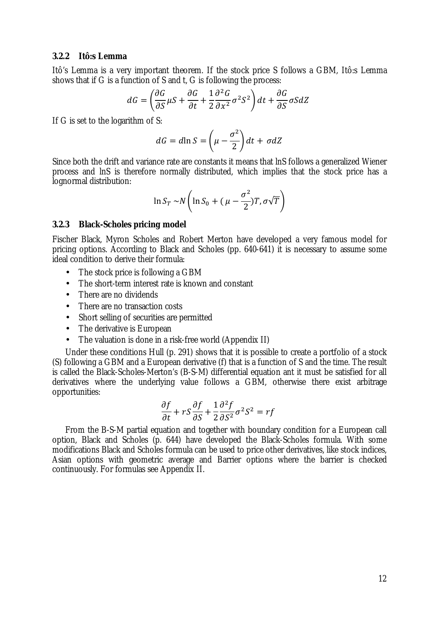#### **3.2.2 Itô:s Lemma**

Itô's Lemma is a very important theorem. If the stock price S follows a GBM, Itô:s Lemma shows that if G is a function of S and t, G is following the process:

$$
dG = \left(\frac{\partial G}{\partial S}\mu S + \frac{\partial G}{\partial t} + \frac{1}{2}\frac{\partial^2 G}{\partial x^2}\sigma^2 S^2\right)dt + \frac{\partial G}{\partial S}\sigma S dZ
$$

If G is set to the logarithm of S:

$$
dG = d\ln S = \left(\mu - \frac{\sigma^2}{2}\right)dt + \sigma dZ
$$

Since both the drift and variance rate are constants it means that lnS follows a generalized Wiener process and lnS is therefore normally distributed, which implies that the stock price has a lognormal distribution:

$$
\ln S_T \sim N \left( \ln S_0 + (\mu - \frac{\sigma^2}{2}) T, \sigma \sqrt{T} \right)
$$

#### **3.2.3 Black-Scholes pricing model**

Fischer Black, Myron Scholes and Robert Merton have developed a very famous model for pricing options. According to Black and Scholes (pp. 640-641) it is necessary to assume some ideal condition to derive their formula:

- The stock price is following a GBM
- The short-term interest rate is known and constant
- There are no dividends
- There are no transaction costs
- Short selling of securities are permitted
- The derivative is European
- The valuation is done in a risk-free world (Appendix II)

Under these conditions Hull (p. 291) shows that it is possible to create a portfolio of a stock (S) following a GBM and a European derivative (f) that is a function of S and the time. The result is called the Black-Scholes-Merton's (B-S-M) differential equation ant it must be satisfied for all derivatives where the underlying value follows a GBM, otherwise there exist arbitrage opportunities:

$$
\frac{\partial f}{\partial t} + rS \frac{\partial f}{\partial S} + \frac{1}{2} \frac{\partial^2 f}{\partial S^2} \sigma^2 S^2 = rf
$$

From the B-S-M partial equation and together with boundary condition for a European call option, Black and Scholes (p. 644) have developed the Black-Scholes formula. With some modifications Black and Scholes formula can be used to price other derivatives, like stock indices, Asian options with geometric average and Barrier options where the barrier is checked continuously. For formulas see Appendix II.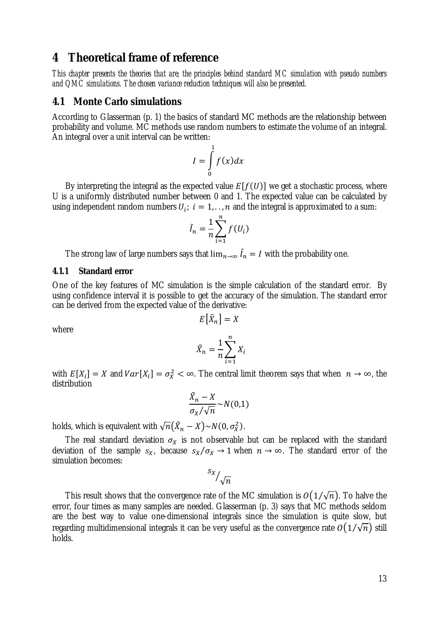### **4 Theoretical frame of reference**

*This chapter presents the theories that are; the principles behind standard MC simulation with pseudo numbers and QMC simulations. The chosen variance reduction techniques will also be presented.* 

### **4.1 Monte Carlo simulations**

According to Glasserman (p. 1) the basics of standard MC methods are the relationship between probability and volume. MC methods use random numbers to estimate the volume of an integral. An integral over a unit interval can be written:

$$
I = \int_{0}^{1} f(x) dx
$$

By interpreting the integral as the expected value  $E[f(U)]$  we get a stochastic process, where U is a uniformly distributed number between 0 and 1. The expected value can be calculated by using independent random numbers  $U_i$ ;  $i = 1, \ldots, n$  and the integral is approximated to a sum:

$$
\hat{I}_n = \frac{1}{n} \sum_{i=1}^n f(U_i)
$$

The strong law of large numbers says that  $\lim_{n\to\infty} I_n = I$  with the probability one.

#### **4.1.1 Standard error**

One of the key features of MC simulation is the simple calculation of the standard error. By using confidence interval it is possible to get the accuracy of the simulation. The standard error can be derived from the expected value of the derivative:

$$
E\big[\widehat{X}_n\big] = X
$$

where

$$
\hat{X}_n = \frac{1}{n} \sum_{i=1}^n X_i
$$

with  $E[X_i] = X$  and  $Var[X_i] = \sigma_X^2 < \infty$ . The central limit theorem says that when  $n \to \infty$ , the distribution

$$
\frac{\hat{X}_n - X}{\sigma_X / \sqrt{n}} \sim N(0, 1)
$$

holds, which is equivalent with  $\sqrt{n}(\hat{X}_n - X) \sim N(0, \sigma_X^2)$ .

The real standard deviation  $\sigma_X$  is not observable but can be replaced with the standard deviation of the sample  $s_X$ , because  $s_X/\sigma_X \to 1$  when  $n \to \infty$ . The standard error of the simulation becomes:

$$
s_{X}/\sqrt{n}
$$

This result shows that the convergence rate of the MC simulation is  $O(1/\sqrt{n})$ . To halve the error, four times as many samples are needed. Glasserman (p. 3) says that MC methods seldom are the best way to value one-dimensional integrals since the simulation is quite slow, but regarding multidimensional integrals it can be very useful as the convergence rate  $O(1/\sqrt{n})$  still holds.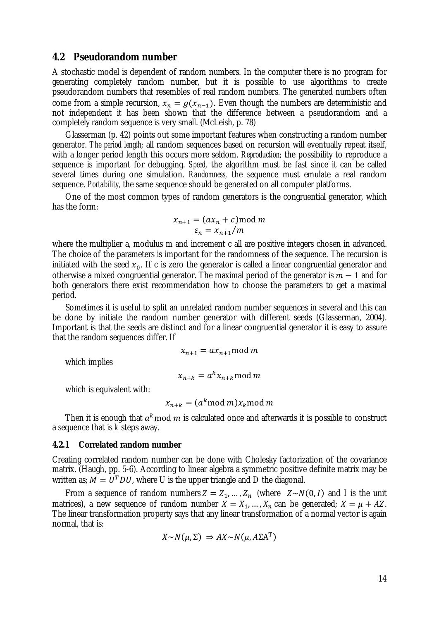### **4.2 Pseudorandom number**

A stochastic model is dependent of random numbers. In the computer there is no program for generating completely random number, but it is possible to use algorithms to create pseudorandom numbers that resembles of real random numbers. The generated numbers often come from a simple recursion,  $x_n = g(x_{n-1})$ . Even though the numbers are deterministic and not independent it has been shown that the difference between a pseudorandom and a completely random sequence is very small. (McLeish, p. 78)

Glasserman (p. 42) points out some important features when constructing a random number generator. *The period length;* all random sequences based on recursion will eventually repeat itself, with a longer period length this occurs more seldom. *Reproduction;* the possibility to reproduce a sequence is important for debugging. *Speed,* the algorithm must be fast since it can be called several times during one simulation. *Randomness,* the sequence must emulate a real random sequence. *Portability,* the same sequence should be generated on all computer platforms.

One of the most common types of random generators is the congruential generator, which has the form:

$$
x_{n+1} = (ax_n + c) \mod m
$$
  

$$
\varepsilon_n = x_{n+1}/m
$$

where the multiplier a, modulus m and increment c all are positive integers chosen in advanced. The choice of the parameters is important for the randomness of the sequence. The recursion is initiated with the seed  $x_0$ . If c is zero the generator is called a linear congruential generator and otherwise a mixed congruential generator. The maximal period of the generator is  $m-1$  and for both generators there exist recommendation how to choose the parameters to get a maximal period.

Sometimes it is useful to split an unrelated random number sequences in several and this can be done by initiate the random number generator with different seeds (Glasserman, 2004). Important is that the seeds are distinct and for a linear congruential generator it is easy to assure that the random sequences differ. If

$$
x_{n+1} = ax_{n+1} \bmod m
$$

which implies

$$
x_{n+k} = a^k x_{n+k} \bmod m
$$

which is equivalent with:

$$
x_{n+k} = (a^k \mod m) x_k \mod m
$$

Then it is enough that  $a^k \mod m$  is calculated once and afterwards it is possible to construct a sequence that is *k* steps away.

#### **4.2.1 Correlated random number**

Creating correlated random number can be done with Cholesky factorization of the covariance matrix. (Haugh, pp. 5-6). According to linear algebra a symmetric positive definite matrix may be written as;  $M = U^T D U$ , where U is the upper triangle and D the diagonal.

From a sequence of random numbers  $Z = Z_1, ..., Z_n$  (where  $Z \sim N(0, I)$  and I is the unit matrices), a new sequence of random number  $X = X_1, ..., X_n$  can be generated;  $X = \mu + AZ$ . The linear transformation property says that any linear transformation of a normal vector is again normal, that is:

$$
X \sim N(\mu, \Sigma) \Rightarrow AX \sim N(\mu, A\Sigma A^{T})
$$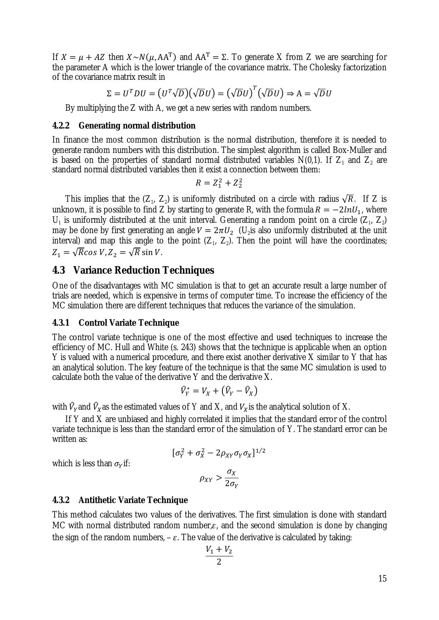If  $X = \mu + AZ$  then  $X \sim N(\mu, AA^T)$  and  $AA^T = \Sigma$ . To generate X from Z we are searching for the parameter A which is the lower triangle of the covariance matrix. The Cholesky factorization of the covariance matrix result in

$$
\Sigma = U^T D U = (U^T \sqrt{D})(\sqrt{D}U) = (\sqrt{D}U)^T (\sqrt{D}U) \Rightarrow A = \sqrt{D}U
$$

By multiplying the Z with A, we get a new series with random numbers.

#### **4.2.2 Generating normal distribution**

In finance the most common distribution is the normal distribution, therefore it is needed to generate random numbers with this distribution. The simplest algorithm is called Box-Muller and is based on the properties of standard normal distributed variables  $N(0,1)$ . If  $Z_1$  and  $Z_2$  are standard normal distributed variables then it exist a connection between them:

$$
R = Z_1^2 + Z_2^2
$$

This implies that the  $(Z_1, Z_2)$  is uniformly distributed on a circle with radius  $\sqrt{R}$ . If Z is unknown, it is possible to find Z by starting to generate R, with the formula  $R = -2lnU_1$ , where  $U_1$  is uniformly distributed at the unit interval. Generating a random point on a circle  $(Z_1, Z_2)$ may be done by first generating an angle  $V = 2\pi U_2$  (U<sub>2</sub> is also uniformly distributed at the unit interval) and map this angle to the point  $(Z_1, Z_2)$ . Then the point will have the coordinates;  $Z_1 = \sqrt{R} \cos V, Z_2 = \sqrt{R} \sin V.$ 

### **4.3 Variance Reduction Techniques**

One of the disadvantages with MC simulation is that to get an accurate result a large number of trials are needed, which is expensive in terms of computer time. To increase the efficiency of the MC simulation there are different techniques that reduces the variance of the simulation.

#### **4.3.1 Control Variate Technique**

The control variate technique is one of the most effective and used techniques to increase the efficiency of MC. Hull and White (s. 243) shows that the technique is applicable when an option Y is valued with a numerical procedure, and there exist another derivative X similar to Y that has an analytical solution. The key feature of the technique is that the same MC simulation is used to calculate both the value of the derivative Y and the derivative X.

$$
\widehat{V}_Y^* = V_X + \left(\widehat{V}_Y - \widehat{V}_X\right)
$$

with  $\hat{V}_Y$ and  $\hat{V}_X$ as the estimated values of Y and X, and  $V_X$ is the analytical solution of X.

If Y and X are unbiased and highly correlated it implies that the standard error of the control variate technique is less than the standard error of the simulation of Y. The standard error can be written as:

$$
[\sigma_Y^2 + \sigma_X^2 - 2\rho_{XY}\sigma_Y\sigma_X]^{1/2}
$$

which is less than  $\sigma_Y$ if:

$$
\rho_{XY} > \frac{\sigma_X}{2\sigma_Y}
$$

#### **4.3.2 Antithetic Variate Technique**

This method calculates two values of the derivatives. The first simulation is done with standard MC with normal distributed random number,  $\varepsilon$ , and the second simulation is done by changing the sign of the random numbers,  $-\varepsilon$ . The value of the derivative is calculated by taking:

$$
\frac{V_1+V_2}{2}
$$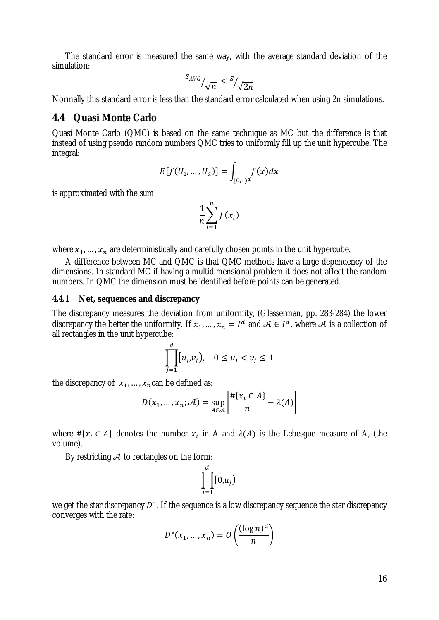The standard error is measured the same way, with the average standard deviation of the simulation:

$$
S_{AVG}/\sqrt{n} < \frac{S}{\sqrt{2n}}
$$

Normally this standard error is less than the standard error calculated when using 2n simulations.

### **4.4 Quasi Monte Carlo**

Quasi Monte Carlo (QMC) is based on the same technique as MC but the difference is that instead of using pseudo random numbers QMC tries to uniformly fill up the unit hypercube. The integral:

$$
E[f(U_1, ..., U_d)] = \int_{[0,1)^d} f(x) dx
$$

is approximated with the sum

$$
\frac{1}{n}\sum_{i=1}^n f(x_i)
$$

where  $x_1, ..., x_n$  are deterministically and carefully chosen points in the unit hypercube.

A difference between MC and QMC is that QMC methods have a large dependency of the dimensions. In standard MC if having a multidimensional problem it does not affect the random numbers. In QMC the dimension must be identified before points can be generated.

#### **4.4.1 Net, sequences and discrepancy**

The discrepancy measures the deviation from uniformity, (Glasserman, pp. 283-284) the lower discrepancy the better the uniformity. If  $x_1, ..., x_n = I^d$  and  $A \in I^d$ , where A is a collection of all rectangles in the unit hypercube:

$$
\prod_{j=1}^d [u_j, v_j], \quad 0 \le u_j < v_j \le 1
$$

the discrepancy of  $x_1, ..., x_n$  can be defined as;

$$
D(x_1, ..., x_n; \mathcal{A}) = \sup_{A \in \mathcal{A}} \left| \frac{\#\{x_i \in A\}}{n} - \lambda(A) \right|
$$

where  $\#\{x_i \in A\}$  denotes the number  $x_i$  in A and  $\lambda(A)$  is the Lebesgue measure of A, (the volume).

By restricting  $A$  to rectangles on the form:

$$
\prod_{j=1}^d[0,u_j)
$$

we get the star discrepancy  $D^*$ . If the sequence is a low discrepancy sequence the star discrepancy converges with the rate:

$$
D^*(x_1, ..., x_n) = O\left(\frac{(\log n)^d}{n}\right)
$$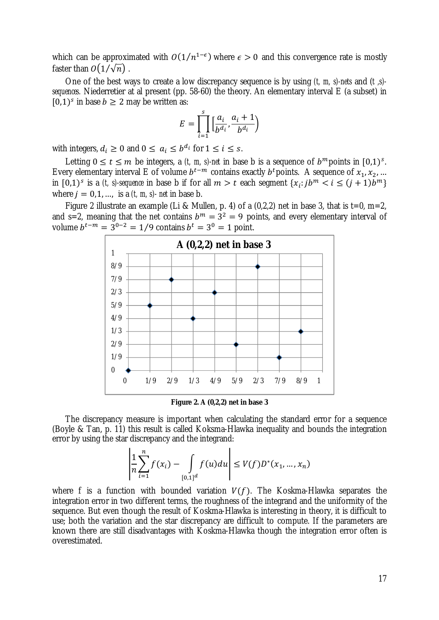which can be approximated with  $O(1/n^{1-\epsilon})$  where  $\epsilon > 0$  and this convergence rate is mostly faster than  $O(1/\sqrt{n})$ .

One of the best ways to create a low discrepancy sequence is by using *(t, m, s)-nets* and (*t ,s) sequences.* Niederretier at al present (pp. 58-60) the theory. An elementary interval E (a subset) in  $[0,1)^s$  in base  $b \ge 2$  may be written as:

$$
E = \prod_{i=1}^{s} \left[ \frac{a_i}{b^{d_i}}, \frac{a_i + 1}{b^{d_i}} \right)
$$

with integers,  $d_i \ge 0$  and  $0 \le a_i \le b^{d_i}$  for  $1 \le i \le s$ .

Letting  $0 \le t \le m$  be integers, a *(t, m, s)-net* in base b is a sequence of  $b^m$  points in  $[0,1)^s$ . Every elementary interval E of volume  $b^{t-m}$  contains exactly  $b^t$  points. A sequence of  $x_1, x_2, ...$ in  $[0,1)^s$  is a *(t, s)-sequence* in base b if for all  $m > t$  each segment  $\{x_i : j b^m < i \le (j + 1) b^m\}$ where  $j = 0,1, \ldots$ , is a  $(t, m, s)$ - *net* in base b.

Figure 2 illustrate an example (Li & Mullen, p. 4) of a  $(0,2,2)$  net in base 3, that is t=0, m=2, and s=2, meaning that the net contains  $b^m = 3^2 = 9$  points, and every elementary interval of volume  $b^{t-m} = 3^{0-2} = 1/9$  contains  $b^t = 3^0 = 1$  point.



**Figure 2. A (0,2,2) net in base 3** 

The discrepancy measure is important when calculating the standard error for a sequence (Boyle & Tan, p. 11) this result is called Koksma-Hlawka inequality and bounds the integration error by using the star discrepancy and the integrand:

$$
\left|\frac{1}{n}\sum_{i=1}^{n}f(x_{i})-\int_{[0,1]^{d}}f(u)du\right| \leq V(f)D^{*}(x_{1},...,x_{n})
$$

where f is a function with bounded variation  $V(f)$ . The Koskma-Hlawka separates the integration error in two different terms, the roughness of the integrand and the uniformity of the sequence. But even though the result of Koskma-Hlawka is interesting in theory, it is difficult to use; both the variation and the star discrepancy are difficult to compute. If the parameters are known there are still disadvantages with Koskma-Hlawka though the integration error often is overestimated.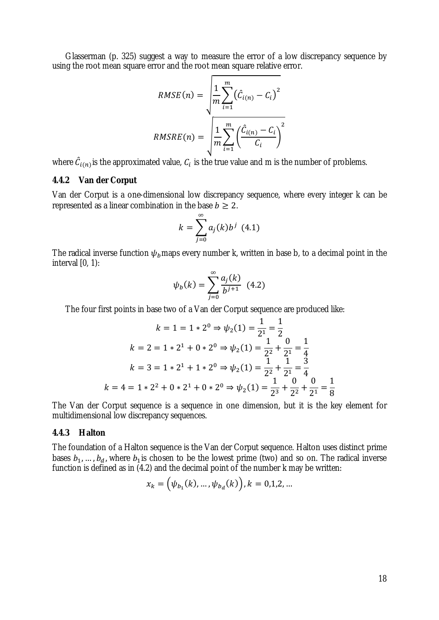Glasserman (p. 325) suggest a way to measure the error of a low discrepancy sequence by using the root mean square error and the root mean square relative error.

$$
RMSE(n) = \sqrt{\frac{1}{m} \sum_{i=1}^{m} (\hat{C}_{i(n)} - C_i)^2}
$$

$$
RMSRE(n) = \sqrt{\frac{1}{m} \sum_{i=1}^{m} (\frac{\hat{C}_{i(n)} - C_i}{C_i})^2}
$$

where  $\hat{C}_{i(n)}$  is the approximated value,  $C_i$  is the true value and m is the number of problems.

#### **4.4.2 Van der Corput**

Van der Corput is a one-dimensional low discrepancy sequence, where every integer k can be represented as a linear combination in the base  $b \geq 2$ .

$$
k=\sum_{j=0}^{\infty}a_j(k)b^j\ (4.1)
$$

The radical inverse function  $\psi_b$  maps every number k, written in base b, to a decimal point in the interval [0, 1):

$$
\psi_b(k) = \sum_{j=0}^{\infty} \frac{a_j(k)}{b^{j+1}} \quad (4.2)
$$

The four first points in base two of a Van der Corput sequence are produced like:

$$
k = 1 = 1 \times 2^0 \Rightarrow \psi_2(1) = \frac{1}{2^1} = \frac{1}{2}
$$
  
\n
$$
k = 2 = 1 \times 2^1 + 0 \times 2^0 \Rightarrow \psi_2(1) = \frac{1}{2^2} + \frac{0}{2^1} = \frac{1}{4}
$$
  
\n
$$
k = 3 = 1 \times 2^1 + 1 \times 2^0 \Rightarrow \psi_2(1) = \frac{1}{2^2} + \frac{1}{2^1} = \frac{3}{4}
$$
  
\n
$$
k = 4 = 1 \times 2^2 + 0 \times 2^1 + 0 \times 2^0 \Rightarrow \psi_2(1) = \frac{1}{2^3} + \frac{0}{2^2} + \frac{0}{2^1} = \frac{1}{8}
$$

The Van der Corput sequence is a sequence in one dimension, but it is the key element for multidimensional low discrepancy sequences.

#### **4.4.3 Halton**

The foundation of a Halton sequence is the Van der Corput sequence. Halton uses distinct prime bases  $b_1, ..., b_d$ , where  $b_1$  is chosen to be the lowest prime (two) and so on. The radical inverse function is defined as in  $(4.2)$  and the decimal point of the number k may be written:

$$
x_k = (\psi_{b_1}(k), \dots, \psi_{b_d}(k)), k = 0, 1, 2, \dots
$$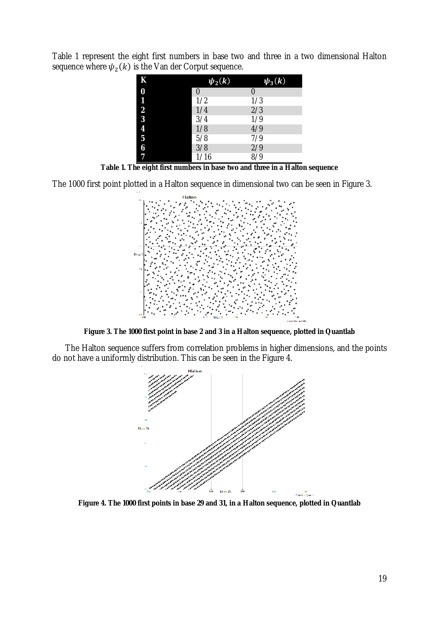Table 1 represent the eight first numbers in base two and three in a two dimensional Halton sequence where  $\psi_2(k)$  is the Van der Corput sequence.

| K                       | $\psi_2(k)$ | $\psi_3(k)$  |
|-------------------------|-------------|--------------|
| 0                       | 0           |              |
| 1                       | 1/2         | 1/3          |
| $\overline{2}$          | 1/4         | 2/3          |
| $\overline{\mathbf{3}}$ | 3/4         | 1/9          |
| 4                       | 1/8         | 4/9          |
| $\overline{5}$          | 5/8         | 7/9          |
| 6                       | 3/8         | 2/9          |
| 7                       | 1/16        | $\sqrt{8/9}$ |

**Table 1. The eight first numbers in base two and three in a Halton sequence** 

The 1000 first point plotted in a Halton sequence in dimensional two can be seen in Figure 3.



**Figure 3. The 1000 first point in base 2 and 3 in a Halton sequence, plotted in Quantlab** 

The Halton sequence suffers from correlation problems in higher dimensions, and the points do not have a uniformly distribution. This can be seen in the Figure 4.



**Figure 4. The 1000 first points in base 29 and 31, in a Halton sequence, plotted in Quantlab**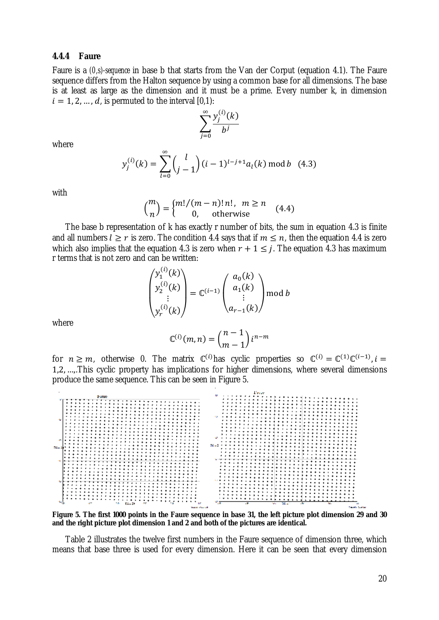#### **4.4.4 Faure**

Faure is a *(0,s)-sequence* in base b that starts from the Van der Corput (equation 4.1). The Faure sequence differs from the Halton sequence by using a common base for all dimensions. The base is at least as large as the dimension and it must be a prime. Every number k, in dimension  $i = 1, 2, ..., d$ , is permuted to the interval [0,1):

$$
\sum_{j=0}^{\infty} \frac{y_j^{(i)}(k)}{b^j}
$$

where

$$
y_j^{(i)}(k) = \sum_{l=0}^{\infty} {l \choose j-1} (i-1)^{l-j+1} a_l(k) \bmod b \quad (4.3)
$$

with

$$
\binom{m}{n} = \begin{cases} m!/(m-n)! \, n! & n \ge n \\ 0 & \text{otherwise} \end{cases} \tag{4.4}
$$

The base b representation of k has exactly r number of bits, the sum in equation 4.3 is finite and all numbers  $l \geq r$  is zero. The condition 4.4 says that if  $m \leq n$ , then the equation 4.4 is zero which also implies that the equation 4.3 is zero when  $r + 1 \leq j$ . The equation 4.3 has maximum r terms that is not zero and can be written:

 $\int$  (i)  $\sim$ 

$$
\begin{pmatrix} y_1^{(i)}(k) \\ y_2^{(i)}(k) \\ \vdots \\ y_r^{(i)}(k) \end{pmatrix} = \mathbb{C}^{(i-1)} \begin{pmatrix} a_0(k) \\ a_1(k) \\ \vdots \\ a_{r-1}(k) \end{pmatrix} \text{mod } b
$$

where

$$
\mathbb{C}^{(i)}(m,n) = \binom{n-1}{m-1} i^{n-m}
$$

for  $n \ge m$ , otherwise 0. The matrix  $\mathbb{C}^{(i)}$  has cyclic properties so  $\mathbb{C}^{(i)} = \mathbb{C}^{(1)} \mathbb{C}^{(i-1)}$ ,  $i =$ 1,2, …,.This cyclic property has implications for higher dimensions, where several dimensions produce the same sequence. This can be seen in Figure 5.



Figure 5. The first 1000 points in the Faure sequence in base 31, the left picture plot dimension 29 and 30 **and the right picture plot dimension 1 and 2 and both of the pictures are identical.** 

Table 2 illustrates the twelve first numbers in the Faure sequence of dimension three, which means that base three is used for every dimension. Here it can be seen that every dimension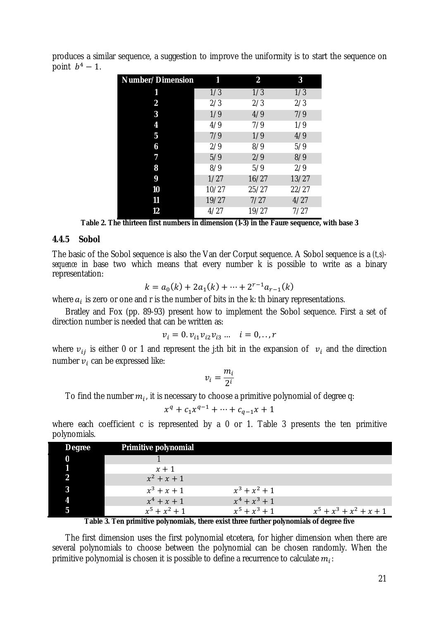| Number/Dimension |       | $\overline{\mathbf{2}}$ | 3     |
|------------------|-------|-------------------------|-------|
| 1                | 1/3   | 1/3                     | 1/3   |
| $\boldsymbol{2}$ | 2/3   | 2/3                     | 2/3   |
| 3                | 1/9   | 4/9                     | 7/9   |
| 4                | 4/9   | 7/9                     | 1/9   |
| $\overline{5}$   | 7/9   | 1/9                     | 4/9   |
| 6                | 2/9   | 8/9                     | 5/9   |
| 7                | 5/9   | 2/9                     | 8/9   |
| 8                | 8/9   | 5/9                     | 2/9   |
| 9                | 1/27  | 16/27                   | 13/27 |
| 10               | 10/27 | 25/27                   | 22/27 |
| 11               | 19/27 | 7/27                    | 4/27  |
| 12               | 4/27  | 19/27                   | 7/27  |

produces a similar sequence, a suggestion to improve the uniformity is to start the sequence on point  $b^4-1$ .

**Table 2. The thirteen first numbers in dimension (1-3) in the Faure sequence, with base 3** 

#### **4.4.5 Sobol**

The basic of the Sobol sequence is also the Van der Corput sequence. A Sobol sequence is a *(t,s) sequence* in base two which means that every number k is possible to write as a binary representation:

$$
k = a_0(k) + 2a_1(k) + \dots + 2^{r-1}a_{r-1}(k)
$$

where  $a_i$  is zero or one and r is the number of bits in the k: th binary representations.

Bratley and Fox (pp. 89-93) present how to implement the Sobol sequence. First a set of direction number is needed that can be written as:

$$
v_i = 0. v_{i1} v_{i2} v_{i3} \dots \quad i = 0, ..., r
$$

where  $v_{ij}$  is either 0 or 1 and represent the j:th bit in the expansion of  $v_i$  and the direction number  $v_i$  can be expressed like:

$$
v_i = \frac{m_i}{2^i}
$$

To find the number  $m_i$ , it is necessary to choose a primitive polynomial of degree q:

$$
x^{q} + c_{1}x^{q-1} + \cdots + c_{q-1}x + 1
$$

where each coefficient c is represented by a 0 or 1. Table 3 presents the ten primitive polynomials.

| <b>Degree</b> | <b>Primitive polynomial</b> |                 |                           |
|---------------|-----------------------------|-----------------|---------------------------|
| 0             |                             |                 |                           |
|               | $x + 1$                     |                 |                           |
|               | $x^2 + x + 1$               |                 |                           |
|               | $x^3 + x + 1$               | $x^3 + x^2 + 1$ |                           |
|               | $x^4 + x + 1$               | $x^4 + x^3 + 1$ |                           |
|               | $x^5 + x^2 + 1$             | $x^5 + x^3 + 1$ | $x^5 + x^3 + x^2 + x + 1$ |

**Table 3. Ten primitive polynomials, there exist three further polynomials of degree five** 

The first dimension uses the first polynomial etcetera, for higher dimension when there are several polynomials to choose between the polynomial can be chosen randomly. When the primitive polynomial is chosen it is possible to define a recurrence to calculate  $m_i$ :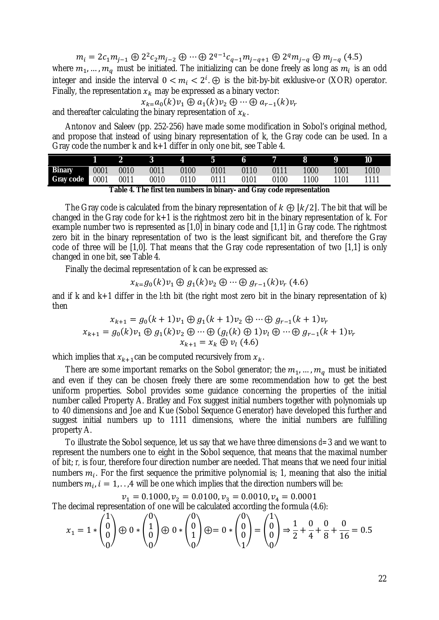$$
m_i = 2c_1m_{j-1} \oplus 2^2c_2m_{j-2} \oplus \cdots \oplus 2^{q-1}c_{q-1}m_{j-q+1} \oplus 2^q m_{j-q} \oplus m_{j-q}
$$
(4.5)

where  $m_1, ..., m_q$  must be initiated. The initializing can be done freely as long as  $m_i$  is an odd integer and inside the interval  $0 < m_i < 2^i$ .  $\oplus$  is the bit-by-bit exklusive-or (XOR) operator. Finally, the representation  $x_k$  may be expressed as a binary vector:

 $x_{k=}a_0(k)v_1 \oplus a_1(k)v_2 \oplus \cdots \oplus a_{r-1}(k)v_r$ and thereafter calculating the binary representation of  $x_k$ .

Antonov and Saleev (pp. 252-256) have made some modification in Sobol's original method, and propose that instead of using binary representation of k, the Gray code can be used. In a Gray code the number k and k+1 differ in only one bit, see Table 4.

|                         | $\begin{array}{ccccccccccccccccccccc} &2& &3& &4& &5& &6& &7& &8& &9& &10\end{array}$ |           |      |                    |      |                |      |      |      |
|-------------------------|---------------------------------------------------------------------------------------|-----------|------|--------------------|------|----------------|------|------|------|
| <b>Binary</b> 0001 0010 |                                                                                       | 0011      | 0100 | $\sim$ 0101        |      | 0110 0111 1000 |      | 1001 | 1010 |
| Gray code 0001 0011     |                                                                                       | 0010 0110 |      | $\sim$ 0111 $\sim$ | 0101 | 0100           | 1100 | 1101 | 1111 |

**Table 4. The first ten numbers in binary- and Gray code representation** 

The Gray code is calculated from the binary representation of  $k \oplus [k/2]$ . The bit that will be changed in the Gray code for  $k+1$  is the rightmost zero bit in the binary representation of k. For example number two is represented as [1,0] in binary code and [1,1] in Gray code. The rightmost zero bit in the binary representation of two is the least significant bit, and therefore the Gray code of three will be [1,0]. That means that the Gray code representation of two [1,1] is only changed in one bit, see Table 4.

Finally the decimal representation of k can be expressed as:

$$
x_{k=0}(k)v_1 \oplus g_1(k)v_2 \oplus \cdots \oplus g_{r-1}(k)v_r
$$
 (4.6)

and if k and  $k+1$  differ in the l:th bit (the right most zero bit in the binary representation of k) then

$$
x_{k+1} = g_0(k+1)v_1 \oplus g_1(k+1)v_2 \oplus \cdots \oplus g_{r-1}(k+1)v_r
$$
  

$$
x_{k+1} = g_0(k)v_1 \oplus g_1(k)v_2 \oplus \cdots \oplus (g_l(k) \oplus 1)v_l \oplus \cdots \oplus g_{r-1}(k+1)v_r
$$
  

$$
x_{k+1} = x_k \oplus v_l
$$
 (4.6)

which implies that  $x_{k+1}$  can be computed recursively from  $x_k$ .

There are some important remarks on the Sobol generator; the  $m_1, ..., m_q$  must be initiated and even if they can be chosen freely there are some recommendation how to get the best uniform properties. Sobol provides some guidance concerning the properties of the initial number called Property A. Bratley and Fox suggest initial numbers together with polynomials up to 40 dimensions and Joe and Kue (Sobol Sequence Generator) have developed this further and suggest initial numbers up to 1111 dimensions, where the initial numbers are fulfilling property A.

To illustrate the Sobol sequence, let us say that we have three dimensions *d=*3 and we want to represent the numbers one to eight in the Sobol sequence, that means that the maximal number of bit; *r,* is four, therefore four direction number are needed. That means that we need four initial numbers  $m_i$ . For the first sequence the primitive polynomial is; 1, meaning that also the initial numbers  $m_i$ ,  $i = 1, \ldots, 4$  will be one which implies that the direction numbers will be:

$$
v_1 = 0.1000, v_2 = 0.0100, v_3 = 0.0010, v_4 = 0.0001
$$

The decimal representation of one will be calculated according the formula (4.6):

$$
x_1 = 1 * \begin{pmatrix} 1 \\ 0 \\ 0 \end{pmatrix} \oplus 0 * \begin{pmatrix} 0 \\ 1 \\ 0 \end{pmatrix} \oplus 0 * \begin{pmatrix} 0 \\ 0 \\ 1 \end{pmatrix} \oplus 0 * \begin{pmatrix} 0 \\ 0 \\ 0 \end{pmatrix} = 0 * \begin{pmatrix} 0 \\ 0 \\ 0 \end{pmatrix} = \begin{pmatrix} 1 \\ 0 \\ 0 \end{pmatrix} \Rightarrow \frac{1}{2} + \frac{0}{4} + \frac{0}{8} + \frac{0}{16} = 0.5
$$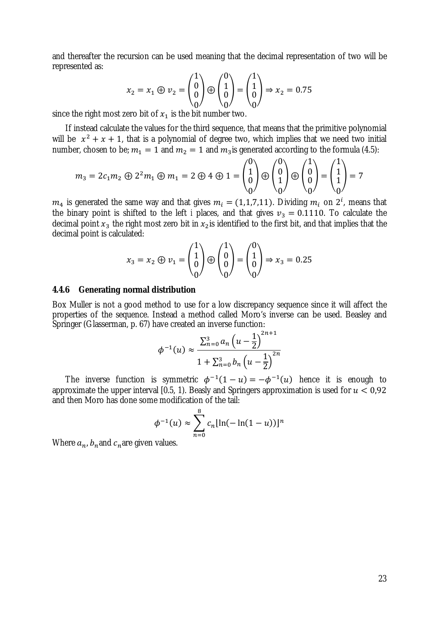and thereafter the recursion can be used meaning that the decimal representation of two will be represented as:

$$
x_2 = x_1 \oplus v_2 = \begin{pmatrix} 1 \\ 0 \\ 0 \end{pmatrix} \oplus \begin{pmatrix} 0 \\ 1 \\ 0 \end{pmatrix} = \begin{pmatrix} 1 \\ 1 \\ 0 \end{pmatrix} \Rightarrow x_2 = 0.75
$$

since the right most zero bit of  $x_1$  is the bit number two.

If instead calculate the values for the third sequence, that means that the primitive polynomial will be  $x^2 + x + 1$ , that is a polynomial of degree two, which implies that we need two initial number, chosen to be;  $m_1 = 1$  and  $m_2 = 1$  and  $m_3$  is generated according to the formula (4.5):

$$
m_3 = 2c_1 m_2 \oplus 2^2 m_1 \oplus m_1 = 2 \oplus 4 \oplus 1 = \begin{pmatrix} 0 \\ 1 \\ 0 \end{pmatrix} \oplus \begin{pmatrix} 0 \\ 0 \\ 1 \end{pmatrix} \oplus \begin{pmatrix} 1 \\ 0 \\ 0 \end{pmatrix} = \begin{pmatrix} 1 \\ 1 \\ 1 \end{pmatrix} = 7
$$

 $m_4$  is generated the same way and that gives  $m_i = (1,1,7,11)$ . Dividing  $m_i$  on  $2^i$ , means that the binary point is shifted to the left *i* places, and that gives  $v_3 = 0.1110$ . To calculate the decimal point  $x_3$  the right most zero bit in  $x_2$  is identified to the first bit, and that implies that the decimal point is calculated:

$$
x_3 = x_2 \oplus v_1 = \begin{pmatrix} 1 \\ 1 \\ 0 \\ 0 \end{pmatrix} \oplus \begin{pmatrix} 1 \\ 0 \\ 0 \\ 0 \end{pmatrix} = \begin{pmatrix} 0 \\ 1 \\ 0 \\ 0 \end{pmatrix} \Rightarrow x_3 = 0.25
$$

### **4.4.6 Generating normal distribution**

Box Muller is not a good method to use for a low discrepancy sequence since it will affect the properties of the sequence. Instead a method called Moro's inverse can be used. Beasley and Springer (Glasserman, p. 67) have created an inverse function:

$$
\phi^{-1}(u) \approx \frac{\sum_{n=0}^{3} a_n \left(u - \frac{1}{2}\right)^{2n+1}}{1 + \sum_{n=0}^{3} b_n \left(u - \frac{1}{2}\right)^{2n}}
$$

The inverse function is symmetric  $\phi^{-1}(1-u) = -\phi^{-1}(u)$  hence it is enough to approximate the upper interval [0.5, 1). Beasly and Springers approximation is used for  $u < 0.92$ and then Moro has done some modification of the tail:

$$
\phi^{-1}(u) \approx \sum_{n=0}^{8} c_n [\ln(-\ln(1-u))]^n
$$

Where  $a_n$ ,  $b_n$  and  $c_n$  are given values.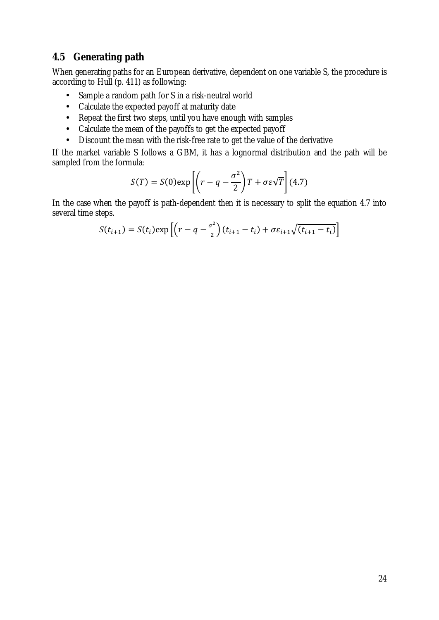### **4.5 Generating path**

When generating paths for an European derivative, dependent on one variable S, the procedure is according to Hull (p. 411) as following:

- Sample a random path for S in a risk-neutral world
- Calculate the expected payoff at maturity date
- Repeat the first two steps, until you have enough with samples
- Calculate the mean of the payoffs to get the expected payoff
- Discount the mean with the risk-free rate to get the value of the derivative

If the market variable S follows a GBM, it has a lognormal distribution and the path will be sampled from the formula:

$$
S(T) = S(0) \exp\left[ \left( r - q - \frac{\sigma^2}{2} \right) T + \sigma \varepsilon \sqrt{T} \right] (4.7)
$$

In the case when the payoff is path-dependent then it is necessary to split the equation 4.7 into several time steps.

$$
S(t_{i+1}) = S(t_i) \exp\left[ \left( r - q - \frac{\sigma^2}{2} \right) (t_{i+1} - t_i) + \sigma \varepsilon_{i+1} \sqrt{(t_{i+1} - t_i)} \right]
$$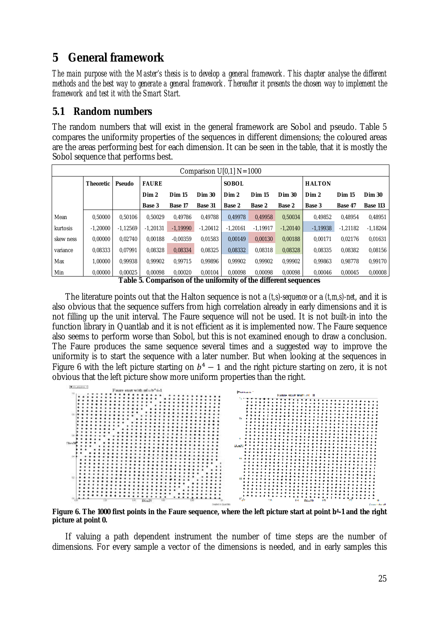# **5 General framework**

The main purpose with the Master's thesis is to develop a general framework. This chapter analyse the different methods and the best way to generate a general framework. Thereafter it presents the chosen way to implement the *framework and test it with the Smart Start.* 

### **5.1 Random numbers**

The random numbers that will exist in the general framework are Sobol and pseudo. Table 5 compares the uniformity properties of the sequences in different dimensions; the coloured areas are the areas performing best for each dimension. It can be seen in the table, that it is mostly the Sobol sequence that performs best.

|           | Comparison $U[0,1]$ N=1000 |            |               |                |               |               |               |               |               |               |                 |  |  |
|-----------|----------------------------|------------|---------------|----------------|---------------|---------------|---------------|---------------|---------------|---------------|-----------------|--|--|
|           | <b>Theoretic</b>           | Pseudo     | <b>FAURE</b>  |                |               | <b>SOBOL</b>  |               |               | <b>HALTON</b> |               |                 |  |  |
|           |                            |            | Dim 2         | <b>Dim 15</b>  | <b>Dim 30</b> | Dim 2         | <b>Dim 15</b> | <b>Dim 30</b> | Dim 2         | <b>Dim 15</b> | <b>Dim 30</b>   |  |  |
|           |                            |            | <b>Base 3</b> | <b>Base 17</b> | Base 31       | <b>Base 2</b> | <b>Base 2</b> | Base 2        | <b>Base 3</b> | Base 47       | <b>Base 113</b> |  |  |
| Mean      | 0.50000                    | 0.50106    | 0.50029       | 0.49786        | 0.49788       | 0.49978       | 0.49958       | 0.50034       | 0.49852       | 0.48954       | 0,48951         |  |  |
| kurtosis  | $-1.20000$                 | $-1.12569$ | $-1.20131$    | $-1.19990$     | $-1.20412$    | $-1.20161$    | $-1.19917$    | $-1.20140$    | $-1,19938$    | $-1.21182$    | $-1.18264$      |  |  |
| skew ness | 0.00000                    | 0.02740    | 0.00188       | $-0.00359$     | 0.01583       | 0.00149       | 0.00130       | 0.00188       | 0.00171       | 0.02176       | 0.01631         |  |  |
| variance  | 0.08333                    | 0.07991    | 0.08328       | 0.08334        | 0.08325       | 0.08332       | 0.08318       | 0.08328       | 0.08335       | 0.08382       | 0.08156         |  |  |
| Max       | 1.00000                    | 0.99938    | 0.99902       | 0.99715        | 0.99896       | 0.99902       | 0.99902       | 0.99902       | 0.99863       | 0.98778       | 0.99170         |  |  |
| Min       | 0.00000                    | 0.00025    | 0.00098       | 0.00020        | 0.00104       | 0.00098       | 0.00098       | 0.00098       | 0.00046       | 0.00045       | 0.00008         |  |  |

**Table 5. Comparison of the uniformity of the different sequences** 

The literature points out that the Halton sequence is not a *(t,s)-sequence* or a *(t,m,s)-net*, and it is also obvious that the sequence suffers from high correlation already in early dimensions and it is not filling up the unit interval. The Faure sequence will not be used. It is not built-in into the function library in Quantlab and it is not efficient as it is implemented now. The Faure sequence also seems to perform worse than Sobol, but this is not examined enough to draw a conclusion. The Faure produces the same sequence several times and a suggested way to improve the uniformity is to start the sequence with a later number. But when looking at the sequences in Figure 6 with the left picture starting on  $b^4 - 1$  and the right picture starting on zero, it is not obvious that the left picture show more uniform properties than the right.



Figure 6. The 1000 first points in the Faure sequence, where the left picture start at point b<sup>4</sup>-1 and the right **picture at point 0.** 

If valuing a path dependent instrument the number of time steps are the number of dimensions. For every sample a vector of the dimensions is needed, and in early samples this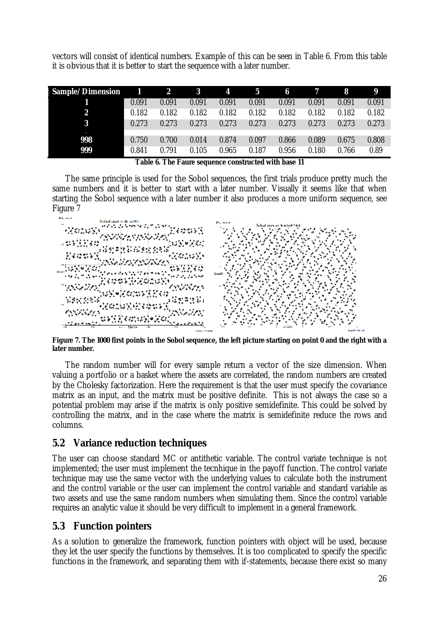vectors will consist of identical numbers. Example of this can be seen in Table 6. From this table it is obvious that it is better to start the sequence with a later number.

| Sample/Dimension 1 2 |       |       | $\mathbf{3}$ | $\overline{\mathbf{4}}$ | $5\phantom{0}$ | $\overline{\mathbf{6}}$ | $\overline{7}$ | $\bf{8}$ | 9     |
|----------------------|-------|-------|--------------|-------------------------|----------------|-------------------------|----------------|----------|-------|
|                      | 0.091 | 0.091 | 0.091        | 0.091                   | 0.091          | 0.091                   | 0.091          | 0.091    | 0.091 |
| 2                    | 0.182 | 0.182 | 0.182        | 0.182                   | 0.182          | 0.182                   | 0.182          | 0.182    | 0.182 |
| 3                    | 0.273 | 0.273 | 0.273        | 0.273                   | 0.273          | 0.273                   | 0.273          | 0.273    | 0.273 |
|                      |       |       |              |                         |                |                         |                |          |       |
| 998                  | 0.750 | 0.700 | 0.014        | 0.874                   | 0.097          | 0.866                   | 0.089          | 0.675    | 0.808 |
| 999                  | 0.841 | 0.791 | 0.105        | 0.965                   | 0.187          | 0.956                   | 0.180          | 0.766    | 0.89  |

**Table 6. The Faure sequence constructed with base 11** 

The same principle is used for the Sobol sequences, the first trials produce pretty much the same numbers and it is better to start with a later number. Visually it seems like that when starting the Sobol sequence with a later number it also produces a more uniform sequence, see Figure 7



Figure 7. The 1000 first points in the Sobol sequence, the left picture starting on point 0 and the right with a **later number.** 

The random number will for every sample return a vector of the size dimension. When valuing a portfolio or a basket where the assets are correlated, the random numbers are created by the Cholesky factorization. Here the requirement is that the user must specify the covariance matrix as an input, and the matrix must be positive definite. This is not always the case so a potential problem may arise if the matrix is only positive semidefinite. This could be solved by controlling the matrix, and in the case where the matrix is semidefinite reduce the rows and columns.

### **5.2 Variance reduction techniques**

The user can choose standard MC or antithetic variable. The control variate technique is not implemented; the user must implement the tecnhique in the payoff function. The control variate technique may use the same vector with the underlying values to calculate both the instrument and the control variable or the user can implement the control variable and standard variable as two assets and use the same random numbers when simulating them. Since the control variable requires an analytic value it should be very difficult to implement in a general framework.

### **5.3 Function pointers**

As a solution to generalize the framework, function pointers with object will be used, because they let the user specify the functions by themselves. It is too complicated to specify the specific functions in the framework, and separating them with if-statements, because there exist so many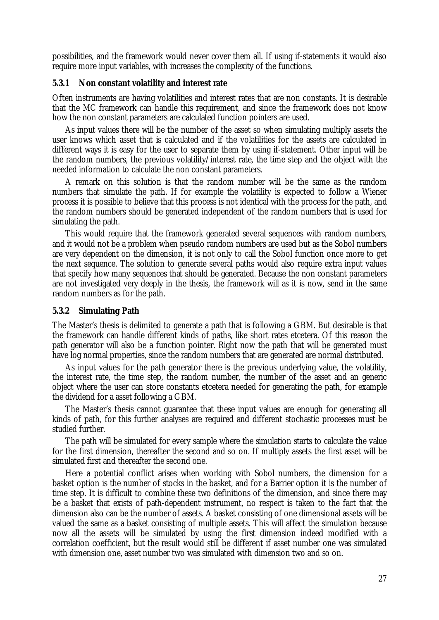possibilities, and the framework would never cover them all. If using if-statements it would also require more input variables, with increases the complexity of the functions.

### **5.3.1 Non constant volatility and interest rate**

Often instruments are having volatilities and interest rates that are non constants. It is desirable that the MC framework can handle this requirement, and since the framework does not know how the non constant parameters are calculated function pointers are used.

As input values there will be the number of the asset so when simulating multiply assets the user knows which asset that is calculated and if the volatilities for the assets are calculated in different ways it is easy for the user to separate them by using if-statement. Other input will be the random numbers, the previous volatility/interest rate, the time step and the object with the needed information to calculate the non constant parameters.

A remark on this solution is that the random number will be the same as the random numbers that simulate the path. If for example the volatility is expected to follow a Wiener process it is possible to believe that this process is not identical with the process for the path, and the random numbers should be generated independent of the random numbers that is used for simulating the path.

This would require that the framework generated several sequences with random numbers, and it would not be a problem when pseudo random numbers are used but as the Sobol numbers are very dependent on the dimension, it is not only to call the Sobol function once more to get the next sequence. The solution to generate several paths would also require extra input values that specify how many sequences that should be generated. Because the non constant parameters are not investigated very deeply in the thesis, the framework will as it is now, send in the same random numbers as for the path.

#### **5.3.2 Simulating Path**

The Master's thesis is delimited to generate a path that is following a GBM. But desirable is that the framework can handle different kinds of paths, like short rates etcetera. Of this reason the path generator will also be a function pointer. Right now the path that will be generated must have log normal properties, since the random numbers that are generated are normal distributed.

As input values for the path generator there is the previous underlying value, the volatility, the interest rate, the time step, the random number, the number of the asset and an generic object where the user can store constants etcetera needed for generating the path, for example the dividend for a asset following a GBM.

The Master's thesis cannot guarantee that these input values are enough for generating all kinds of path, for this further analyses are required and different stochastic processes must be studied further.

The path will be simulated for every sample where the simulation starts to calculate the value for the first dimension, thereafter the second and so on. If multiply assets the first asset will be simulated first and thereafter the second one.

Here a potential conflict arises when working with Sobol numbers, the dimension for a basket option is the number of stocks in the basket, and for a Barrier option it is the number of time step. It is difficult to combine these two definitions of the dimension, and since there may be a basket that exists of path-dependent instrument, no respect is taken to the fact that the dimension also can be the number of assets. A basket consisting of one dimensional assets will be valued the same as a basket consisting of multiple assets. This will affect the simulation because now all the assets will be simulated by using the first dimension indeed modified with a correlation coefficient, but the result would still be different if asset number one was simulated with dimension one, asset number two was simulated with dimension two and so on.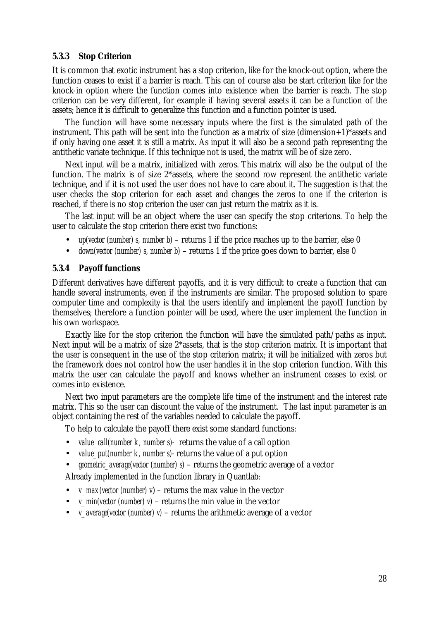### **5.3.3 Stop Criterion**

It is common that exotic instrument has a stop criterion, like for the knock-out option, where the function ceases to exist if a barrier is reach. This can of course also be start criterion like for the knock-in option where the function comes into existence when the barrier is reach. The stop criterion can be very different, for example if having several assets it can be a function of the assets; hence it is difficult to generalize this function and a function pointer is used.

The function will have some necessary inputs where the first is the simulated path of the instrument. This path will be sent into the function as a matrix of size (dimension+1)\*assets and if only having one asset it is still a matrix. As input it will also be a second path representing the antithetic variate technique. If this technique not is used, the matrix will be of size zero.

Next input will be a matrix, initialized with zeros. This matrix will also be the output of the function. The matrix is of size 2\*assets, where the second row represent the antithetic variate technique, and if it is not used the user does not have to care about it. The suggestion is that the user checks the stop criterion for each asset and changes the zeros to one if the criterion is reached, if there is no stop criterion the user can just return the matrix as it is.

The last input will be an object where the user can specify the stop criterions. To help the user to calculate the stop criterion there exist two functions:

- *up(vector (number) s, number b)* returns 1 if the price reaches up to the barrier, else 0
- *down(vector (number) s, number b)* returns 1 if the price goes down to barrier, else 0

#### **5.3.4 Payoff functions**

Different derivatives have different payoffs, and it is very difficult to create a function that can handle several instruments, even if the instruments are similar. The proposed solution to spare computer time and complexity is that the users identify and implement the payoff function by themselves; therefore a function pointer will be used, where the user implement the function in his own workspace.

Exactly like for the stop criterion the function will have the simulated path/paths as input. Next input will be a matrix of size 2\*assets, that is the stop criterion matrix. It is important that the user is consequent in the use of the stop criterion matrix; it will be initialized with zeros but the framework does not control how the user handles it in the stop criterion function. With this matrix the user can calculate the payoff and knows whether an instrument ceases to exist or comes into existence.

Next two input parameters are the complete life time of the instrument and the interest rate matrix. This so the user can discount the value of the instrument. The last input parameter is an object containing the rest of the variables needed to calculate the payoff.

To help to calculate the payoff there exist some standard functions:

- *value call(number k, number s)* returns the value of a call option
- *value\_put(number k, number s)-* returns the value of a put option
- *geometric\_average(vector (number) s)* returns the geometric average of a vector

Already implemented in the function library in Quantlab:

- *v\_max(vector (number) v*) returns the max value in the vector
- *v\_min(vector (number) v)* returns the min value in the vector
- *v\_average(vector (number) v)* returns the arithmetic average of a vector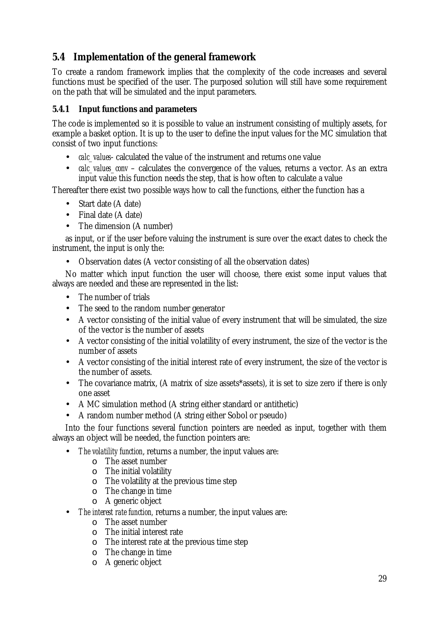## **5.4 Implementation of the general framework**

To create a random framework implies that the complexity of the code increases and several functions must be specified of the user. The purposed solution will still have some requirement on the path that will be simulated and the input parameters.

### **5.4.1 Input functions and parameters**

The code is implemented so it is possible to value an instrument consisting of multiply assets, for example a basket option. It is up to the user to define the input values for the MC simulation that consist of two input functions:

- *calc\_values* calculated the value of the instrument and returns one value
- *calc values conv* calculates the convergence of the values, returns a vector. As an extra input value this function needs the step, that is how often to calculate a value

Thereafter there exist two possible ways how to call the functions, either the function has a

- Start date (A date)
- Final date (A date)
- The dimension (A number)

as input, or if the user before valuing the instrument is sure over the exact dates to check the instrument, the input is only the:

• Observation dates (A vector consisting of all the observation dates)

No matter which input function the user will choose, there exist some input values that always are needed and these are represented in the list:

- The number of trials
- The seed to the random number generator
- A vector consisting of the initial value of every instrument that will be simulated, the size of the vector is the number of assets
- A vector consisting of the initial volatility of every instrument, the size of the vector is the number of assets
- A vector consisting of the initial interest rate of every instrument, the size of the vector is the number of assets.
- The covariance matrix, (A matrix of size assets\*assets), it is set to size zero if there is only one asset
- A MC simulation method (A string either standard or antithetic)
- A random number method (A string either Sobol or pseudo)

Into the four functions several function pointers are needed as input, together with them always an object will be needed, the function pointers are:

- *The volatility function*, returns a number, the input values are:
	- $\circ$  The asset number
		- $\circ$  The initial volatility
		- o The volatility at the previous time step
		- o The change in time
		- o A generic object
- *The interest rate function,* returns a number, the input values are:
	- o The asset number
	- o The initial interest rate
	- o The interest rate at the previous time step
	- o The change in time
	- o A generic object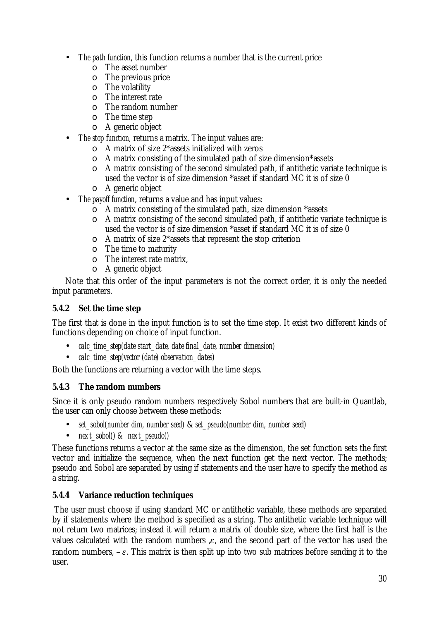- *The path function*, this function returns a number that is the current price
	- o The asset number
	- o The previous price
	- o The volatility
	- o The interest rate
	- o The random number
	- o The time step
	- o A generic object
- *The stop function,* returns a matrix. The input values are:
	- $\circ$  A matrix of size 2\*assets initialized with zeros
	- o A matrix consisting of the simulated path of size dimension\*assets
	- o A matrix consisting of the second simulated path, if antithetic variate technique is used the vector is of size dimension \*asset if standard MC it is of size 0
	- o A generic object
- *The payoff function*, returns a value and has input values:
	- o A matrix consisting of the simulated path, size dimension \*assets
	- o A matrix consisting of the second simulated path, if antithetic variate technique is used the vector is of size dimension \*asset if standard MC it is of size 0
	- o A matrix of size 2\*assets that represent the stop criterion
	- o The time to maturity
	- o The interest rate matrix,
	- o A generic object

Note that this order of the input parameters is not the correct order, it is only the needed input parameters.

### **5.4.2 Set the time step**

The first that is done in the input function is to set the time step. It exist two different kinds of functions depending on choice of input function.

- *calc\_time\_step(date start\_date, date final\_date, number dimension)*
- *calc\_time\_step(vector (date) observation\_dates)*

Both the functions are returning a vector with the time steps.

### **5.4.3 The random numbers**

Since it is only pseudo random numbers respectively Sobol numbers that are built-in Quantlab, the user can only choose between these methods:

- *set\_sobol(number dim, number seed)* & *set\_pseudo(number dim, number seed)*
- *next\_sobol() & next\_pseudo()*

These functions returns a vector at the same size as the dimension, the set function sets the first vector and initialize the sequence, when the next function get the next vector. The methods; pseudo and Sobol are separated by using if statements and the user have to specify the method as a string.

### **5.4.4 Variance reduction techniques**

The user must choose if using standard MC or antithetic variable, these methods are separated by if statements where the method is specified as a string. The antithetic variable technique will not return two matrices; instead it will return a matrix of double size, where the first half is the values calculated with the random numbers  $x$ , and the second part of the vector has used the random numbers,  $-\varepsilon$ . This matrix is then split up into two sub matrices before sending it to the user.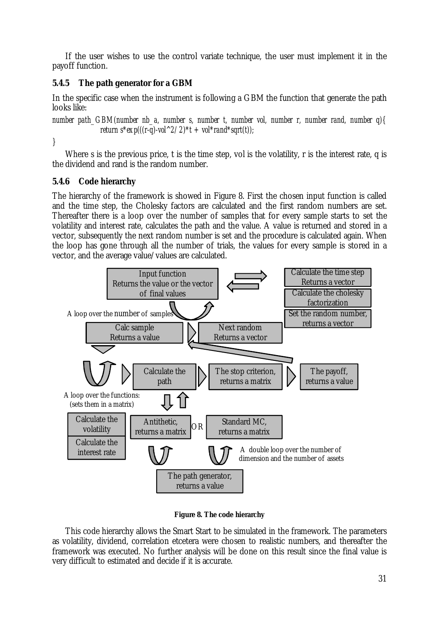If the user wishes to use the control variate technique, the user must implement it in the payoff function.

### **5.4.5 The path generator for a GBM**

In the specific case when the instrument is following a GBM the function that generate the path looks like:

*number path\_GBM(number nb\_a, number s, number t, number vol, number r, number rand, number q){ return*  $s^*exp(((r-q)\text{-}vol^2/2) *t + vol^*rand^*sqrt(t));$ 

*}* 

Where s is the previous price, t is the time step, vol is the volatility, r is the interest rate, q is the dividend and rand is the random number.

### **5.4.6 Code hierarchy**

The hierarchy of the framework is showed in Figure 8. First the chosen input function is called and the time step, the Cholesky factors are calculated and the first random numbers are set. Thereafter there is a loop over the number of samples that for every sample starts to set the volatility and interest rate, calculates the path and the value. A value is returned and stored in a vector, subsequently the next random number is set and the procedure is calculated again. When the loop has gone through all the number of trials, the values for every sample is stored in a vector, and the average value/values are calculated.



**Figure 8. The code hierarchy** 

This code hierarchy allows the Smart Start to be simulated in the framework. The parameters as volatility, dividend, correlation etcetera were chosen to realistic numbers, and thereafter the framework was executed. No further analysis will be done on this result since the final value is very difficult to estimated and decide if it is accurate.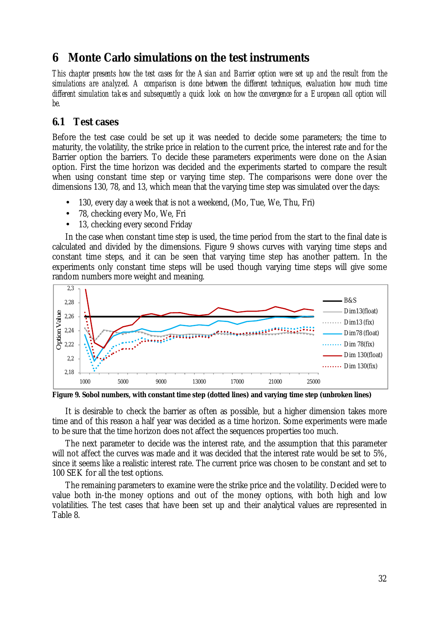# **6 Monte Carlo simulations on the test instruments**

This chapter presents how the test cases for the Asian and Barrier option were set up and the result from the *simulations are analyzed. A comparison is done between the different techniques, evaluation how much time*  different simulation takes and subsequently a quick look on how the convergence for a European call option will *be.* 

### **6.1 Test cases**

Before the test case could be set up it was needed to decide some parameters; the time to maturity, the volatility, the strike price in relation to the current price, the interest rate and for the Barrier option the barriers. To decide these parameters experiments were done on the Asian option. First the time horizon was decided and the experiments started to compare the result when using constant time step or varying time step. The comparisons were done over the dimensions 130, 78, and 13, which mean that the varying time step was simulated over the days:

- 130, every day a week that is not a weekend, (Mo, Tue, We, Thu, Fri)
- 78, checking every Mo, We, Fri
- 13, checking every second Friday

In the case when constant time step is used, the time period from the start to the final date is calculated and divided by the dimensions. Figure 9 shows curves with varying time steps and constant time steps, and it can be seen that varying time step has another pattern. In the experiments only constant time steps will be used though varying time steps will give some random numbers more weight and meaning.



**Figure 9. Sobol numbers, with constant time step (dotted lines) and varying time step (unbroken lines)** 

It is desirable to check the barrier as often as possible, but a higher dimension takes more time and of this reason a half year was decided as a time horizon. Some experiments were made to be sure that the time horizon does not affect the sequences properties too much.

The next parameter to decide was the interest rate, and the assumption that this parameter will not affect the curves was made and it was decided that the interest rate would be set to 5%, since it seems like a realistic interest rate. The current price was chosen to be constant and set to 100 SEK for all the test options.

The remaining parameters to examine were the strike price and the volatility. Decided were to value both in-the money options and out of the money options, with both high and low volatilities. The test cases that have been set up and their analytical values are represented in Table 8.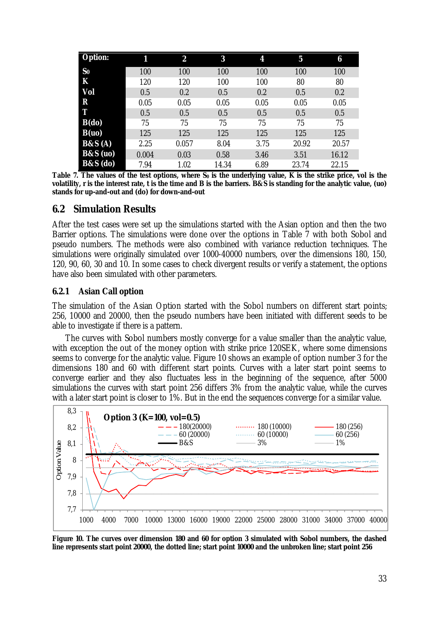| <b>Option:</b>      | 11    | $\overline{\mathbf{2}}$ | 3     | 4    | 5     | 6     |
|---------------------|-------|-------------------------|-------|------|-------|-------|
| S <sub>0</sub>      | 100   | 100                     | 100   | 100  | 100   | 100   |
| K                   | 120   | 120                     | 100   | 100  | 80    | 80    |
| Vol                 | 0.5   | 0.2                     | 0.5   | 0.2  | 0.5   | 0.2   |
| ${\bf R}$           | 0.05  | 0.05                    | 0.05  | 0.05 | 0.05  | 0.05  |
| T                   | 0.5   | 0.5                     | 0.5   | 0.5  | 0.5   | 0.5   |
| $B(d\mathbf{o})$    | 75    | 75                      | 75    | 75   | 75    | 75    |
| B(uo)               | 125   | 125                     | 125   | 125  | 125   | 125   |
| B&S(A)              | 2.25  | 0.057                   | 8.04  | 3.75 | 20.92 | 20.57 |
| <b>B&amp;S</b> (uo) | 0.004 | 0.03                    | 0.58  | 3.46 | 3.51  | 16.12 |
| <b>B&amp;S</b> (do) | 7.94  | 1.02                    | 14.34 | 6.89 | 23.74 | 22.15 |

Table 7. The values of the test options, where  $S_0$  is the underlying value, K is the strike price, vol is the volatility, r is the interest rate, t is the time and B is the barriers. B&S is standing for the analytic value, (uo) **stands for up-and-out and (do) for down-and-out** 

### **6.2 Simulation Results**

After the test cases were set up the simulations started with the Asian option and then the two Barrier options. The simulations were done over the options in Table 7 with both Sobol and pseudo numbers. The methods were also combined with variance reduction techniques. The simulations were originally simulated over 1000-40000 numbers, over the dimensions 180, 150, 120, 90, 60, 30 and 10. In some cases to check divergent results or verify a statement, the options have also been simulated with other parameters.

### **6.2.1 Asian Call option**

The simulation of the Asian Option started with the Sobol numbers on different start points; 256, 10000 and 20000, then the pseudo numbers have been initiated with different seeds to be able to investigate if there is a pattern.

The curves with Sobol numbers mostly converge for a value smaller than the analytic value, with exception the out of the money option with strike price 120SEK, where some dimensions seems to converge for the analytic value. Figure 10 shows an example of option number 3 for the dimensions 180 and 60 with different start points. Curves with a later start point seems to converge earlier and they also fluctuates less in the beginning of the sequence, after 5000 simulations the curves with start point 256 differs 3% from the analytic value, while the curves with a later start point is closer to 1%. But in the end the sequences converge for a similar value.



Figure 10. The curves over dimension 180 and 60 for option 3 simulated with Sobol numbers, the dashed line represents start point 20000, the dotted line; start point 10000 and the unbroken line; start point 256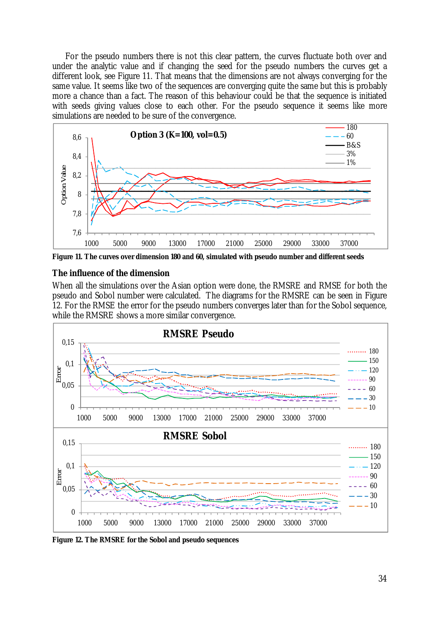For the pseudo numbers there is not this clear pattern, the curves fluctuate both over and under the analytic value and if changing the seed for the pseudo numbers the curves get a different look, see Figure 11. That means that the dimensions are not always converging for the same value. It seems like two of the sequences are converging quite the same but this is probably more a chance than a fact. The reason of this behaviour could be that the sequence is initiated with seeds giving values close to each other. For the pseudo sequence it seems like more simulations are needed to be sure of the convergence.



**Figure 11. The curves over dimension 180 and 60, simulated with pseudo number and different seeds** 

### *The influence of the dimension*

When all the simulations over the Asian option were done, the RMSRE and RMSE for both the pseudo and Sobol number were calculated. The diagrams for the RMSRE can be seen in Figure 12. For the RMSE the error for the pseudo numbers converges later than for the Sobol sequence, while the RMSRE shows a more similar convergence.



**Figure 12. The RMSRE for the Sobol and pseudo sequences**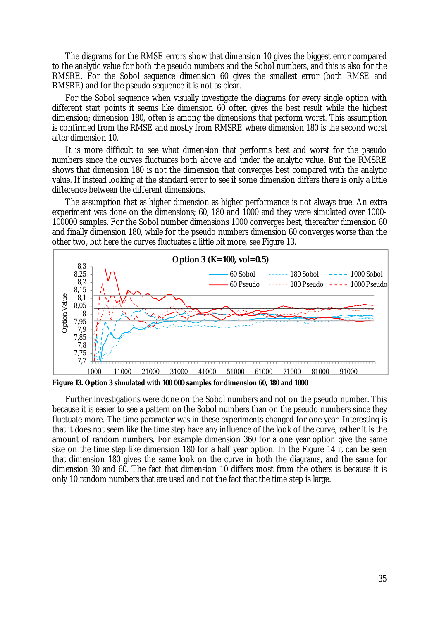The diagrams for the RMSE errors show that dimension 10 gives the biggest error compared to the analytic value for both the pseudo numbers and the Sobol numbers, and this is also for the RMSRE. For the Sobol sequence dimension 60 gives the smallest error (both RMSE and RMSRE) and for the pseudo sequence it is not as clear.

For the Sobol sequence when visually investigate the diagrams for every single option with different start points it seems like dimension 60 often gives the best result while the highest dimension; dimension 180, often is among the dimensions that perform worst. This assumption is confirmed from the RMSE and mostly from RMSRE where dimension 180 is the second worst after dimension 10.

It is more difficult to see what dimension that performs best and worst for the pseudo numbers since the curves fluctuates both above and under the analytic value. But the RMSRE shows that dimension 180 is not the dimension that converges best compared with the analytic value. If instead looking at the standard error to see if some dimension differs there is only a little difference between the different dimensions.

The assumption that as higher dimension as higher performance is not always true. An extra experiment was done on the dimensions; 60, 180 and 1000 and they were simulated over 1000- 100000 samples. For the Sobol number dimensions 1000 converges best, thereafter dimension 60 and finally dimension 180, while for the pseudo numbers dimension 60 converges worse than the other two, but here the curves fluctuates a little bit more, see Figure 13.



**Figure 13. Option 3 simulated with 100 000 samples for dimension 60, 180 and 1000** 

Further investigations were done on the Sobol numbers and not on the pseudo number. This because it is easier to see a pattern on the Sobol numbers than on the pseudo numbers since they fluctuate more. The time parameter was in these experiments changed for one year. Interesting is that it does not seem like the time step have any influence of the look of the curve, rather it is the amount of random numbers. For example dimension 360 for a one year option give the same size on the time step like dimension 180 for a half year option. In the Figure 14 it can be seen that dimension 180 gives the same look on the curve in both the diagrams, and the same for dimension 30 and 60. The fact that dimension 10 differs most from the others is because it is only 10 random numbers that are used and not the fact that the time step is large.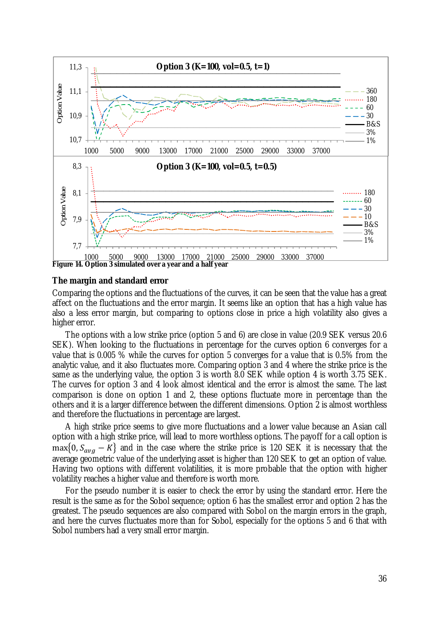

### *The margin and standard error*

Comparing the options and the fluctuations of the curves, it can be seen that the value has a great affect on the fluctuations and the error margin. It seems like an option that has a high value has also a less error margin, but comparing to options close in price a high volatility also gives a higher error.

The options with a low strike price (option 5 and 6) are close in value (20.9 SEK versus 20.6 SEK). When looking to the fluctuations in percentage for the curves option 6 converges for a value that is 0.005 % while the curves for option 5 converges for a value that is 0.5% from the analytic value, and it also fluctuates more. Comparing option 3 and 4 where the strike price is the same as the underlying value, the option 3 is worth 8.0 SEK while option 4 is worth 3.75 SEK. The curves for option 3 and 4 look almost identical and the error is almost the same. The last comparison is done on option 1 and 2, these options fluctuate more in percentage than the others and it is a larger difference between the different dimensions. Option 2 is almost worthless and therefore the fluctuations in percentage are largest.

A high strike price seems to give more fluctuations and a lower value because an Asian call option with a high strike price, will lead to more worthless options. The payoff for a call option is  $\max\{0, S_{avg} - K\}$  and in the case where the strike price is 120 SEK it is necessary that the average geometric value of the underlying asset is higher than 120 SEK to get an option of value. Having two options with different volatilities, it is more probable that the option with higher volatility reaches a higher value and therefore is worth more.

For the pseudo number it is easier to check the error by using the standard error. Here the result is the same as for the Sobol sequence; option 6 has the smallest error and option 2 has the greatest. The pseudo sequences are also compared with Sobol on the margin errors in the graph, and here the curves fluctuates more than for Sobol, especially for the options 5 and 6 that with Sobol numbers had a very small error margin.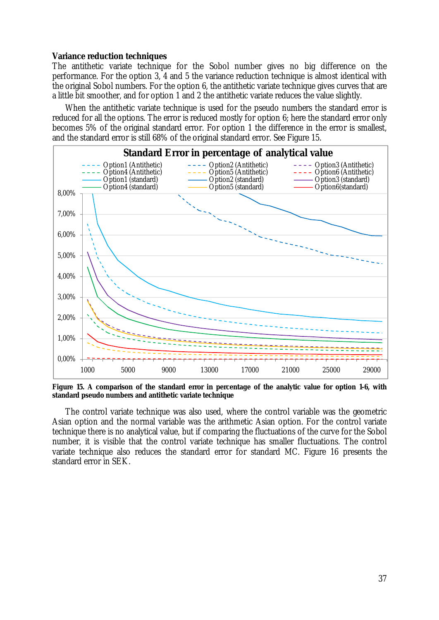#### *Variance reduction techniques*

The antithetic variate technique for the Sobol number gives no big difference on the performance. For the option 3, 4 and 5 the variance reduction technique is almost identical with the original Sobol numbers. For the option 6, the antithetic variate technique gives curves that are a little bit smoother, and for option 1 and 2 the antithetic variate reduces the value slightly.

When the antithetic variate technique is used for the pseudo numbers the standard error is reduced for all the options. The error is reduced mostly for option 6; here the standard error only becomes 5% of the original standard error. For option 1 the difference in the error is smallest, and the standard error is still 68% of the original standard error. See Figure 15.



Figure 15. A comparison of the standard error in percentage of the analytic value for option 1-6, with **standard pseudo numbers and antithetic variate technique** 

The control variate technique was also used, where the control variable was the geometric Asian option and the normal variable was the arithmetic Asian option. For the control variate technique there is no analytical value, but if comparing the fluctuations of the curve for the Sobol number, it is visible that the control variate technique has smaller fluctuations. The control variate technique also reduces the standard error for standard MC. Figure 16 presents the standard error in SEK.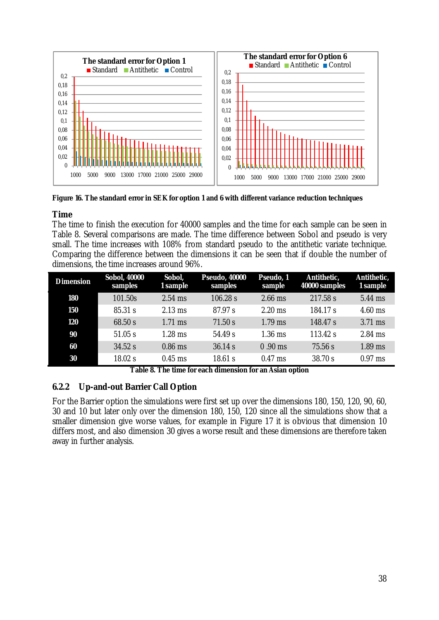

**Figure 16. The standard error in SEK for option 1 and 6 with different variance reduction techniques** 

### *Time*

The time to finish the execution for 40000 samples and the time for each sample can be seen in Table 8. Several comparisons are made. The time difference between Sobol and pseudo is very small. The time increases with 108% from standard pseudo to the antithetic variate technique. Comparing the difference between the dimensions it can be seen that if double the number of dimensions, the time increases around 96%.

| <b>Dimension</b> | <b>Sobol, 40000</b><br>samples | Sobol,<br>1 sample | <b>Pseudo, 40000</b><br>samples | Pseudo, 1<br>sample | Antithetic,<br>40000 samples | Antithetic,<br>1 sample |
|------------------|--------------------------------|--------------------|---------------------------------|---------------------|------------------------------|-------------------------|
| 180              | 101.50s                        | $2.54$ ms          | 106.28 s                        | $2.66$ ms           | 217.58 s                     | 5.44 ms                 |
| 150              | 85.31 s                        | $2.13$ ms          | 87.97 s                         | $2.20$ ms           | 184.17 s                     | $4.60$ ms               |
| 120              | 68.50 s                        | $1.71$ ms          | 71.50 s                         | $1.79$ ms           | 148.47 s                     | 3.71 ms                 |
| 90               | 51.05 s                        | $1.28$ ms          | 54.49 s                         | $1.36$ ms           | 113.42 s                     | $2.84$ ms               |
| 60               | 34.52 s                        | $0.86$ ms          | 36.14 s                         | $0.90$ ms           | 75.56 s                      | $1.89$ ms               |
| 30               | 18.02 s                        | $0.45$ ms          | 18.61 s                         | $0.47$ ms           | 38.70 s                      | $0.97$ ms               |

**Table 8. The time for each dimension for an Asian option** 

### **6.2.2 Up-and-out Barrier Call Option**

For the Barrier option the simulations were first set up over the dimensions 180, 150, 120, 90, 60, 30 and 10 but later only over the dimension 180, 150, 120 since all the simulations show that a smaller dimension give worse values, for example in Figure 17 it is obvious that dimension 10 differs most, and also dimension 30 gives a worse result and these dimensions are therefore taken away in further analysis.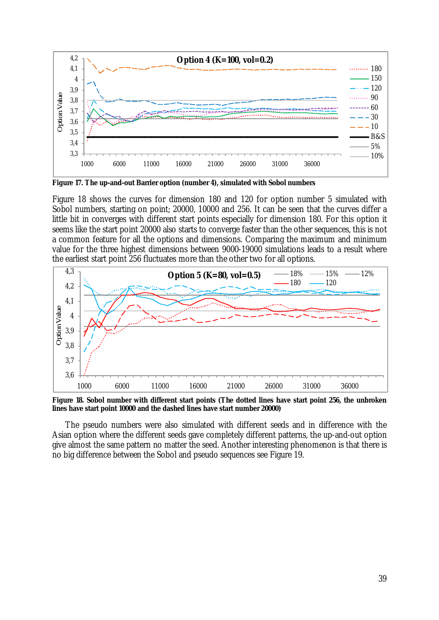

**Figure 17. The up-and-out Barrier option (number 4), simulated with Sobol numbers** 

Figure 18 shows the curves for dimension 180 and 120 for option number 5 simulated with Sobol numbers, starting on point; 20000, 10000 and 256. It can be seen that the curves differ a little bit in converges with different start points especially for dimension 180. For this option it seems like the start point 20000 also starts to converge faster than the other sequences, this is not a common feature for all the options and dimensions. Comparing the maximum and minimum value for the three highest dimensions between 9000-19000 simulations leads to a result where the earliest start point 256 fluctuates more than the other two for all options.



**Figure 18. Sobol number with different start points (The dotted lines have start point 256, the unbroken lines have start point 10000 and the dashed lines have start number 20000)** 

The pseudo numbers were also simulated with different seeds and in difference with the Asian option where the different seeds gave completely different patterns, the up-and-out option give almost the same pattern no matter the seed. Another interesting phenomenon is that there is no big difference between the Sobol and pseudo sequences see Figure 19.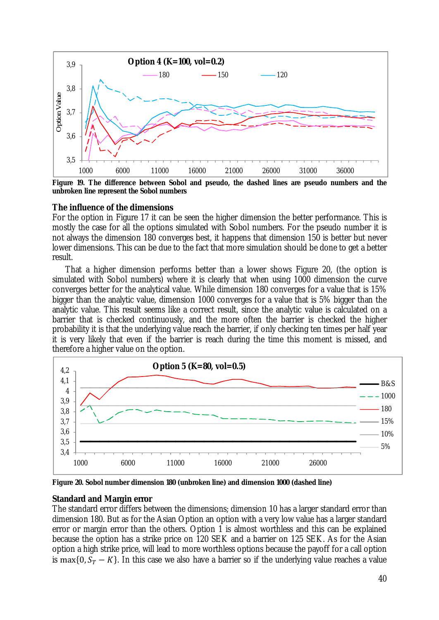

**Figure 19. The difference between Sobol and pseudo, the dashed lines are pseudo numbers and the unbroken line represent the Sobol numbers** 

### *The influence of the dimensions*

For the option in Figure 17 it can be seen the higher dimension the better performance. This is mostly the case for all the options simulated with Sobol numbers. For the pseudo number it is not always the dimension 180 converges best, it happens that dimension 150 is better but never lower dimensions. This can be due to the fact that more simulation should be done to get a better result.

That a higher dimension performs better than a lower shows Figure 20, (the option is simulated with Sobol numbers) where it is clearly that when using 1000 dimension the curve converges better for the analytical value. While dimension 180 converges for a value that is 15% bigger than the analytic value, dimension 1000 converges for a value that is 5% bigger than the analytic value. This result seems like a correct result, since the analytic value is calculated on a barrier that is checked continuously, and the more often the barrier is checked the higher probability it is that the underlying value reach the barrier, if only checking ten times per half year it is very likely that even if the barrier is reach during the time this moment is missed, and therefore a higher value on the option.



**Figure 20. Sobol number dimension 180 (unbroken line) and dimension 1000 (dashed line)** 

### *Standard and Margin error*

The standard error differs between the dimensions; dimension 10 has a larger standard error than dimension 180. But as for the Asian Option an option with a very low value has a larger standard error or margin error than the others. Option 1 is almost worthless and this can be explained because the option has a strike price on 120 SEK and a barrier on 125 SEK. As for the Asian option a high strike price, will lead to more worthless options because the payoff for a call option is max $\{0, S_T - K\}$ . In this case we also have a barrier so if the underlying value reaches a value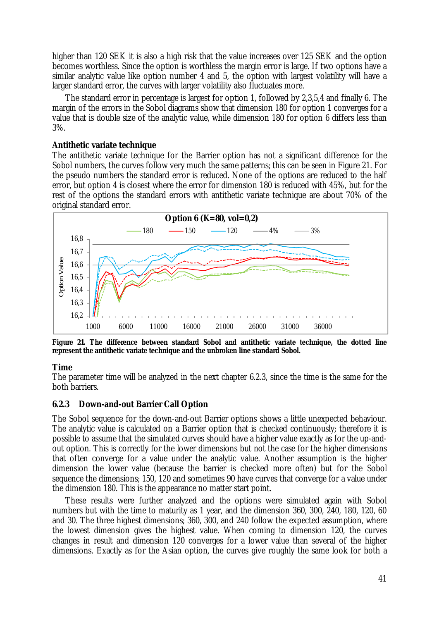higher than 120 SEK it is also a high risk that the value increases over 125 SEK and the option becomes worthless. Since the option is worthless the margin error is large. If two options have a similar analytic value like option number 4 and 5, the option with largest volatility will have a larger standard error, the curves with larger volatility also fluctuates more.

The standard error in percentage is largest for option 1, followed by 2,3,5,4 and finally 6. The margin of the errors in the Sobol diagrams show that dimension 180 for option 1 converges for a value that is double size of the analytic value, while dimension 180 for option 6 differs less than 3%.

#### *Antithetic variate technique*

The antithetic variate technique for the Barrier option has not a significant difference for the Sobol numbers, the curves follow very much the same patterns; this can be seen in Figure 21. For the pseudo numbers the standard error is reduced. None of the options are reduced to the half error, but option 4 is closest where the error for dimension 180 is reduced with 45%, but for the rest of the options the standard errors with antithetic variate technique are about 70% of the original standard error.



**Figure 21. The difference between standard Sobol and antithetic variate technique, the dotted line represent the antithetic variate technique and the unbroken line standard Sobol.** 

#### *Time*

The parameter time will be analyzed in the next chapter 6.2.3, since the time is the same for the both barriers.

### **6.2.3 Down-and-out Barrier Call Option**

The Sobol sequence for the down-and-out Barrier options shows a little unexpected behaviour. The analytic value is calculated on a Barrier option that is checked continuously; therefore it is possible to assume that the simulated curves should have a higher value exactly as for the up-andout option. This is correctly for the lower dimensions but not the case for the higher dimensions that often converge for a value under the analytic value. Another assumption is the higher dimension the lower value (because the barrier is checked more often) but for the Sobol sequence the dimensions; 150, 120 and sometimes 90 have curves that converge for a value under the dimension 180. This is the appearance no matter start point.

These results were further analyzed and the options were simulated again with Sobol numbers but with the time to maturity as 1 year, and the dimension 360, 300, 240, 180, 120, 60 and 30. The three highest dimensions; 360, 300, and 240 follow the expected assumption, where the lowest dimension gives the highest value. When coming to dimension 120, the curves changes in result and dimension 120 converges for a lower value than several of the higher dimensions. Exactly as for the Asian option, the curves give roughly the same look for both a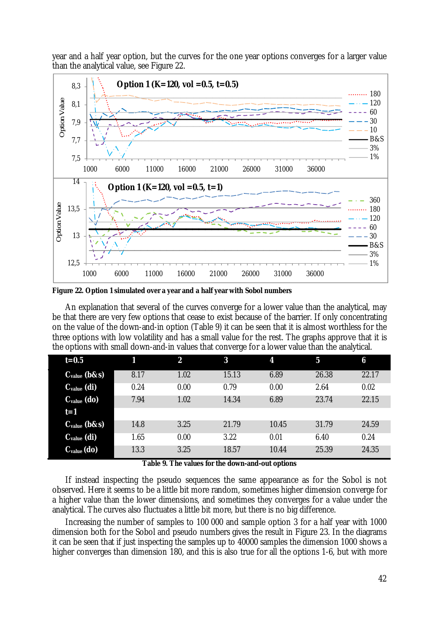year and a half year option, but the curves for the one year options converges for a larger value than the analytical value, see Figure 22.



**Figure 22. Option 1 simulated over a year and a half year with Sobol numbers** 

An explanation that several of the curves converge for a lower value than the analytical, may be that there are very few options that cease to exist because of the barrier. If only concentrating on the value of the down-and-in option (Table 9) it can be seen that it is almost worthless for the three options with low volatility and has a small value for the rest. The graphs approve that it is the options with small down-and-in values that converge for a lower value than the analytical.

| $t=0.5$           |      | $\boldsymbol{2}$ | 3     | 4     | 5     | 6     |
|-------------------|------|------------------|-------|-------|-------|-------|
| $C_{value}$ (b&s) | 8.17 | 1.02             | 15.13 | 6.89  | 26.38 | 22.17 |
| $C_{value}$ (di)  | 0.24 | 0.00             | 0.79  | 0.00  | 2.64  | 0.02  |
| $C_{value}$ (do)  | 7.94 | 1.02             | 14.34 | 6.89  | 23.74 | 22.15 |
| $t=1$             |      |                  |       |       |       |       |
| $C_{value}$ (b&s) | 14.8 | 3.25             | 21.79 | 10.45 | 31.79 | 24.59 |
| $C_{value}$ (di)  | 1.65 | 0.00             | 3.22  | 0.01  | 6.40  | 0.24  |
| $C_{value}$ (do)  | 13.3 | 3.25             | 18.57 | 10.44 | 25.39 | 24.35 |

**Table 9. The values for the down-and-out options** 

If instead inspecting the pseudo sequences the same appearance as for the Sobol is not observed. Here it seems to be a little bit more random, sometimes higher dimension converge for a higher value than the lower dimensions, and sometimes they converges for a value under the analytical. The curves also fluctuates a little bit more, but there is no big difference.

Increasing the number of samples to 100 000 and sample option 3 for a half year with 1000 dimension both for the Sobol and pseudo numbers gives the result in Figure 23. In the diagrams it can be seen that if just inspecting the samples up to 40000 samples the dimension 1000 shows a higher converges than dimension 180, and this is also true for all the options 1-6, but with more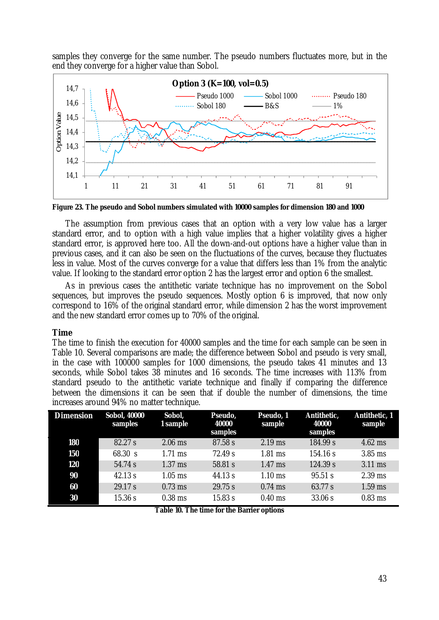samples they converge for the same number. The pseudo numbers fluctuates more, but in the end they converge for a higher value than Sobol.



**Figure 23. The pseudo and Sobol numbers simulated with 10000 samples for dimension 180 and 1000** 

The assumption from previous cases that an option with a very low value has a larger standard error, and to option with a high value implies that a higher volatility gives a higher standard error, is approved here too. All the down-and-out options have a higher value than in previous cases, and it can also be seen on the fluctuations of the curves, because they fluctuates less in value. Most of the curves converge for a value that differs less than 1% from the analytic value. If looking to the standard error option 2 has the largest error and option 6 the smallest.

As in previous cases the antithetic variate technique has no improvement on the Sobol sequences, but improves the pseudo sequences. Mostly option 6 is improved, that now only correspond to 16% of the original standard error, while dimension 2 has the worst improvement and the new standard error comes up to 70% of the original.

### *Time*

The time to finish the execution for 40000 samples and the time for each sample can be seen in Table 10. Several comparisons are made; the difference between Sobol and pseudo is very small, in the case with 100000 samples for 1000 dimensions, the pseudo takes 41 minutes and 13 seconds, while Sobol takes 38 minutes and 16 seconds. The time increases with 113% from standard pseudo to the antithetic variate technique and finally if comparing the difference between the dimensions it can be seen that if double the number of dimensions, the time increases around 94% no matter technique.

| <b>Dimension</b> | <b>Sobol, 40000</b><br>samples | Sobol,<br>1 sample | Pseudo,<br>40000<br>samples | Pseudo, 1<br>sample | Antithetic,<br>40000<br>samples | Antithetic, 1<br>sample |
|------------------|--------------------------------|--------------------|-----------------------------|---------------------|---------------------------------|-------------------------|
| 180              | 82.27 s                        | $2.06$ ms          | 87.58 s                     | $2.19$ ms           | 184.99 s                        | $4.62$ ms               |
| 150              | 68.30 s                        | $1.71$ ms          | 72.49 s                     | $1.81$ ms           | 154.16 s                        | $3.85$ ms               |
| 120              | 54.74 s                        | $1.37$ ms          | 58.81 s                     | $1.47$ ms           | 124.39 s                        | $3.11$ ms               |
| 90               | 42.13 s                        | $1.05$ ms          | 44.13 s                     | $1.10$ ms           | 95.51 s                         | $2.39$ ms               |
| 60               | 29.17 s                        | $0.73$ ms          | 29.75 s                     | $0.74$ ms           | 63.77 s                         | $1.59$ ms               |
| 30               | 15.36 s                        | $0.38$ ms          | 15.83 s                     | $0.40$ ms           | 33.06 s                         | $0.83$ ms               |

**Table 10. The time for the Barrier options**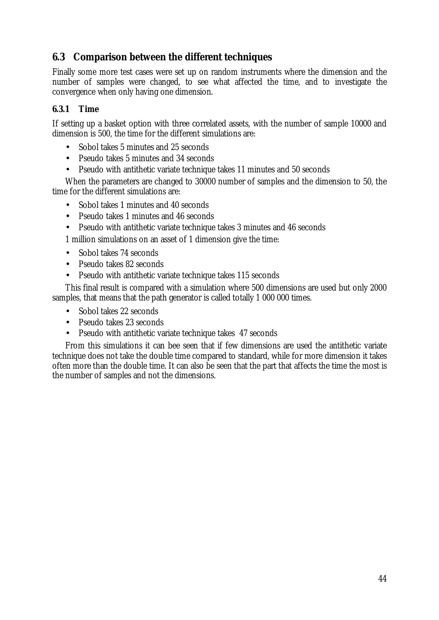### **6.3 Comparison between the different techniques**

Finally some more test cases were set up on random instruments where the dimension and the number of samples were changed, to see what affected the time, and to investigate the convergence when only having one dimension.

### **6.3.1 Time**

If setting up a basket option with three correlated assets, with the number of sample 10000 and dimension is 500, the time for the different simulations are:

- Sobol takes 5 minutes and 25 seconds
- Pseudo takes 5 minutes and 34 seconds
- Pseudo with antithetic variate technique takes 11 minutes and 50 seconds

When the parameters are changed to 30000 number of samples and the dimension to 50, the time for the different simulations are:

- Sobol takes 1 minutes and 40 seconds
- Pseudo takes 1 minutes and 46 seconds
- Pseudo with antithetic variate technique takes 3 minutes and 46 seconds

1 million simulations on an asset of 1 dimension give the time:

- Sobol takes 74 seconds
- Pseudo takes 82 seconds
- Pseudo with antithetic variate technique takes 115 seconds

This final result is compared with a simulation where 500 dimensions are used but only 2000 samples, that means that the path generator is called totally 1 000 000 times.

- Sobol takes 22 seconds
- Pseudo takes 23 seconds
- Pseudo with antithetic variate technique takes 47 seconds

From this simulations it can bee seen that if few dimensions are used the antithetic variate technique does not take the double time compared to standard, while for more dimension it takes often more than the double time. It can also be seen that the part that affects the time the most is the number of samples and not the dimensions.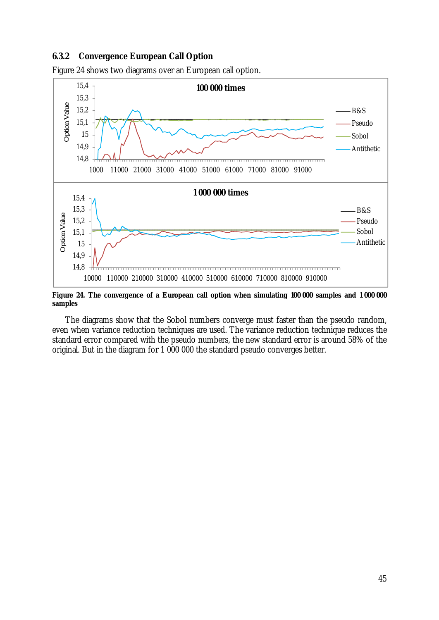### **6.3.2 Convergence European Call Option**



Figure 24 shows two diagrams over an European call option.

Figure 24. The convergence of a European call option when simulating 100 000 samples and 1 000 000 **samples** 

The diagrams show that the Sobol numbers converge must faster than the pseudo random, even when variance reduction techniques are used. The variance reduction technique reduces the standard error compared with the pseudo numbers, the new standard error is around 58% of the original. But in the diagram for 1 000 000 the standard pseudo converges better.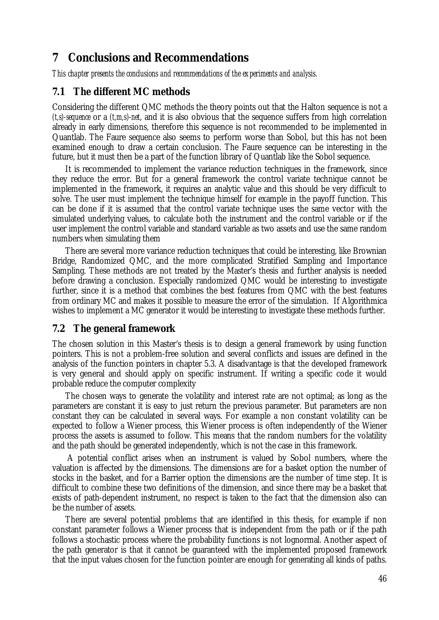## **7 Conclusions and Recommendations**

*This chapter presents the conclusions and recommendations of the experiments and analysis.* 

### **7.1 The different MC methods**

Considering the different QMC methods the theory points out that the Halton sequence is not a *(t,s)-sequence* or a *(t,m,s)-net*, and it is also obvious that the sequence suffers from high correlation already in early dimensions, therefore this sequence is not recommended to be implemented in Quantlab. The Faure sequence also seems to perform worse than Sobol, but this has not been examined enough to draw a certain conclusion. The Faure sequence can be interesting in the future, but it must then be a part of the function library of Quantlab like the Sobol sequence.

It is recommended to implement the variance reduction techniques in the framework, since they reduce the error. But for a general framework the control variate technique cannot be implemented in the framework, it requires an analytic value and this should be very difficult to solve. The user must implement the technique himself for example in the payoff function. This can be done if it is assumed that the control variate technique uses the same vector with the simulated underlying values, to calculate both the instrument and the control variable or if the user implement the control variable and standard variable as two assets and use the same random numbers when simulating them

There are several more variance reduction techniques that could be interesting, like Brownian Bridge, Randomized QMC, and the more complicated Stratified Sampling and Importance Sampling. These methods are not treated by the Master's thesis and further analysis is needed before drawing a conclusion. Especially randomized QMC would be interesting to investigate further, since it is a method that combines the best features from QMC with the best features from ordinary MC and makes it possible to measure the error of the simulation. If Algorithmica wishes to implement a MC generator it would be interesting to investigate these methods further.

### **7.2 The general framework**

The chosen solution in this Master's thesis is to design a general framework by using function pointers. This is not a problem-free solution and several conflicts and issues are defined in the analysis of the function pointers in chapter 5.3. A disadvantage is that the developed framework is very general and should apply on specific instrument. If writing a specific code it would probable reduce the computer complexity

The chosen ways to generate the volatility and interest rate are not optimal; as long as the parameters are constant it is easy to just return the previous parameter. But parameters are non constant they can be calculated in several ways. For example a non constant volatility can be expected to follow a Wiener process, this Wiener process is often independently of the Wiener process the assets is assumed to follow. This means that the random numbers for the volatility and the path should be generated independently, which is not the case in this framework.

A potential conflict arises when an instrument is valued by Sobol numbers, where the valuation is affected by the dimensions. The dimensions are for a basket option the number of stocks in the basket, and for a Barrier option the dimensions are the number of time step. It is difficult to combine these two definitions of the dimension, and since there may be a basket that exists of path-dependent instrument, no respect is taken to the fact that the dimension also can be the number of assets.

There are several potential problems that are identified in this thesis, for example if non constant parameter follows a Wiener process that is independent from the path or if the path follows a stochastic process where the probability functions is not lognormal. Another aspect of the path generator is that it cannot be guaranteed with the implemented proposed framework that the input values chosen for the function pointer are enough for generating all kinds of paths.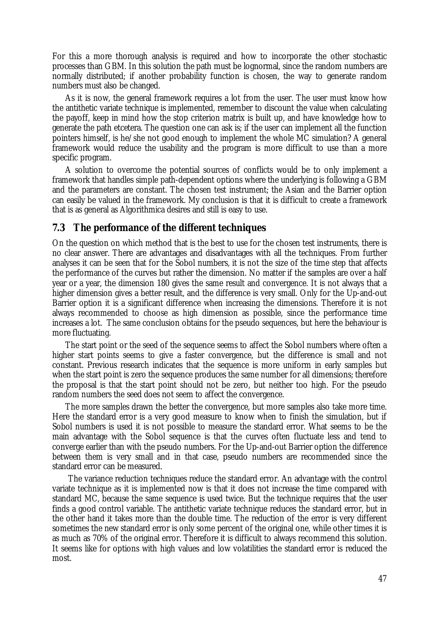For this a more thorough analysis is required and how to incorporate the other stochastic processes than GBM. In this solution the path must be lognormal, since the random numbers are normally distributed; if another probability function is chosen, the way to generate random numbers must also be changed.

As it is now, the general framework requires a lot from the user. The user must know how the antithetic variate technique is implemented, remember to discount the value when calculating the payoff, keep in mind how the stop criterion matrix is built up, and have knowledge how to generate the path etcetera. The question one can ask is; if the user can implement all the function pointers himself, is he/she not good enough to implement the whole MC simulation? A general framework would reduce the usability and the program is more difficult to use than a more specific program.

A solution to overcome the potential sources of conflicts would be to only implement a framework that handles simple path-dependent options where the underlying is following a GBM and the parameters are constant. The chosen test instrument; the Asian and the Barrier option can easily be valued in the framework. My conclusion is that it is difficult to create a framework that is as general as Algorithmica desires and still is easy to use.

### **7.3 The performance of the different techniques**

On the question on which method that is the best to use for the chosen test instruments, there is no clear answer. There are advantages and disadvantages with all the techniques. From further analyses it can be seen that for the Sobol numbers, it is not the size of the time step that affects the performance of the curves but rather the dimension. No matter if the samples are over a half year or a year, the dimension 180 gives the same result and convergence. It is not always that a higher dimension gives a better result, and the difference is very small. Only for the Up-and-out Barrier option it is a significant difference when increasing the dimensions. Therefore it is not always recommended to choose as high dimension as possible, since the performance time increases a lot. The same conclusion obtains for the pseudo sequences, but here the behaviour is more fluctuating.

The start point or the seed of the sequence seems to affect the Sobol numbers where often a higher start points seems to give a faster convergence, but the difference is small and not constant. Previous research indicates that the sequence is more uniform in early samples but when the start point is zero the sequence produces the same number for all dimensions; therefore the proposal is that the start point should not be zero, but neither too high. For the pseudo random numbers the seed does not seem to affect the convergence.

The more samples drawn the better the convergence, but more samples also take more time. Here the standard error is a very good measure to know when to finish the simulation, but if Sobol numbers is used it is not possible to measure the standard error. What seems to be the main advantage with the Sobol sequence is that the curves often fluctuate less and tend to converge earlier than with the pseudo numbers. For the Up-and-out Barrier option the difference between them is very small and in that case, pseudo numbers are recommended since the standard error can be measured.

The variance reduction techniques reduce the standard error. An advantage with the control variate technique as it is implemented now is that it does not increase the time compared with standard MC, because the same sequence is used twice. But the technique requires that the user finds a good control variable. The antithetic variate technique reduces the standard error, but in the other hand it takes more than the double time. The reduction of the error is very different sometimes the new standard error is only some percent of the original one, while other times it is as much as 70% of the original error. Therefore it is difficult to always recommend this solution. It seems like for options with high values and low volatilities the standard error is reduced the most.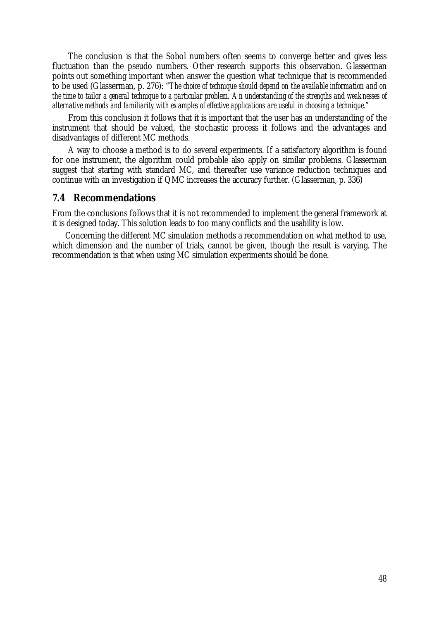The conclusion is that the Sobol numbers often seems to converge better and gives less fluctuation than the pseudo numbers. Other research supports this observation. Glasserman points out something important when answer the question what technique that is recommended to be used (Glasserman, p. 276): "*The choice of technique should depend on the available information and on the time to tailor a general technique to a particular problem. An understanding of the strengths and weaknesses of alternative methods and familiarity with examples of effective applications are useful in choosing a technique."* 

From this conclusion it follows that it is important that the user has an understanding of the instrument that should be valued, the stochastic process it follows and the advantages and disadvantages of different MC methods.

A way to choose a method is to do several experiments. If a satisfactory algorithm is found for one instrument, the algorithm could probable also apply on similar problems. Glasserman suggest that starting with standard MC, and thereafter use variance reduction techniques and continue with an investigation if QMC increases the accuracy further. (Glasserman, p. 336)

### **7.4 Recommendations**

From the conclusions follows that it is not recommended to implement the general framework at it is designed today. This solution leads to too many conflicts and the usability is low.

Concerning the different MC simulation methods a recommendation on what method to use, which dimension and the number of trials, cannot be given, though the result is varying. The recommendation is that when using MC simulation experiments should be done.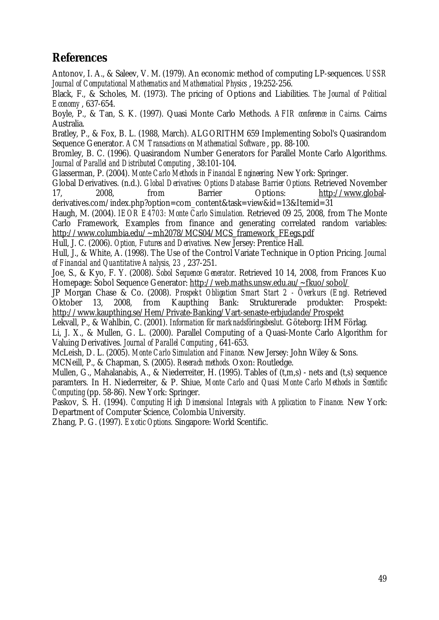# **References**

Antonov, I. A., & Saleev, V. M. (1979). An economic method of computing LP-sequences. *USSR Journal of Computational Mathematics and Mathematical Physics* , 19:252-256.

Black, F., & Scholes, M. (1973). The pricing of Options and Liabilities. *The Journal of Political Economy* , 637-654.

Boyle, P., & Tan, S. K. (1997). Quasi Monte Carlo Methods. *AFIR conference in Cairns.* Cairns Australia.

Bratley, P., & Fox, B. L. (1988, March). ALGORITHM 659 Implementing Sobol's Quasirandom Sequence Generator. *ACM Transactions on Mathematical Software* , pp. 88-100.

Bromley, B. C. (1996). Quasirandom Number Generators for Parallel Monte Carlo Algorithms. *Journal of Parallel and Distributed Computing* , 38:101-104.

Glasserman, P. (2004). *Monte Carlo Methods in Financial Engineering.* New York: Springer.

Global Derivatives. (n.d.). *Global Derivatives: Options Database: Barrier Options.* Retrieved November 17, 2008, from Barrier Options: <http://www.global>derivatives.com/index.php?option=com\_content&task=view&id=13&Itemid=31

Haugh, M. (2004). *IEOR E4703: Monte Carlo Simulation.* Retrieved 09 25, 2008, from The Monte Carlo Framework, Examples from finance and generating correlated random variables: [http://www.columbia.edu/~mh2078/MCS04/MCS\\_framework\\_FEegs.pdf](http://www.columbia.edu/~mh2078/MCS04/MCS_framework_FEegs.pdf)

Hull, J. C. (2006). *Option, Futures and Derivatives.* New Jersey: Prentice Hall.

Hull, J., & White, A. (1998). The Use of the Control Variate Technique in Option Pricing. *Journal of Financial and Quantitative Analysis, 23* , 237-251.

Joe, S., & Kyo, F. Y. (2008). *Sobol Sequence Generator*. Retrieved 10 14, 2008, from Frances Kuo Homepage: Sobol Sequence Generator:<http://web.maths.unsw.edu.au/~fkuo/sobol/>

JP Morgan Chase & Co. (2008). *Prospekt Obligation Smart Start 2 - Överkurs (Eng).* Retrieved Oktober 13, 2008, from Kaupthing Bank: Strukturerade produkter: Prospekt: <http://www.kaupthing.se/Hem/Private-Banking/Vart-senaste-erbjudande/Prospekt>

Lekvall, P., & Wahlbin, C. (2001). *Information för marknadsföringsbeslut.* Göteborg: IHM Förlag.

Li, J. X., & Mullen, G. L. (2000). Parallel Computing of a Quasi-Monte Carlo Algorithm for Valuing Derivatives. *Journal of Parallel Computing* , 641-653.

McLeish, D. L. (2005). *Monte Carlo Simulation and Finance.* New Jersey: John Wiley & Sons.

MCNeill, P., & Chapman, S. (2005). *Reserach methods.* Oxon: Routledge.

Mullen, G., Mahalanabis, A., & Niederreiter, H. (1995). Tables of (t,m,s) - nets and (t,s) sequence paramters. In H. Niederreiter, & P. Shiue, *Monte Carlo and Quasi Monte Carlo Methods in Scentific Computing* (pp. 58-86). New York: Springer.

Paskov, S. H. (1994). *Computing High Dimensional Integrals with Application to Finance.* New York: Department of Computer Science, Colombia University.

Zhang, P. G. (1997). *Exotic Options.* Singapore: World Scentific.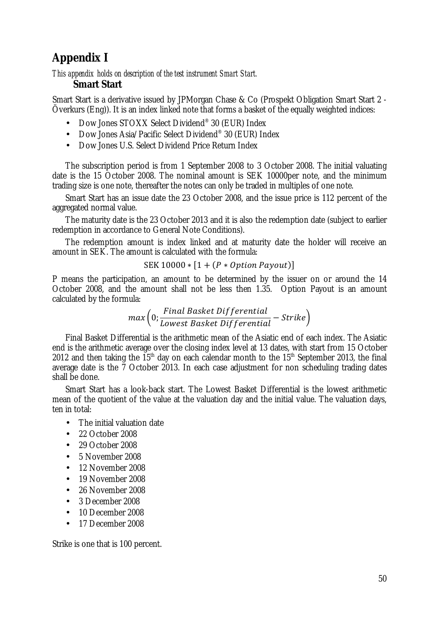# **Appendix I**

### *This appendix holds on description of the test instrument Smart Start.*  **Smart Start**

Smart Start is a derivative issued by JPMorgan Chase & Co (Prospekt Obligation Smart Start 2 - Överkurs (Eng)). It is an index linked note that forms a basket of the equally weighted indices:

- Dow Jones STOXX Select Dividend<sup>®</sup> 30 (EUR) Index
- Dow Jones Asia/Pacific Select Dividend® 30 (EUR) Index
- Dow Jones U.S. Select Dividend Price Return Index

The subscription period is from 1 September 2008 to 3 October 2008. The initial valuating date is the 15 October 2008. The nominal amount is SEK 10000per note, and the minimum trading size is one note, thereafter the notes can only be traded in multiples of one note.

Smart Start has an issue date the 23 October 2008, and the issue price is 112 percent of the aggregated normal value.

The maturity date is the 23 October 2013 and it is also the redemption date (subject to earlier redemption in accordance to General Note Conditions).

The redemption amount is index linked and at maturity date the holder will receive an amount in SEK. The amount is calculated with the formula:

 $SEK 10000 * [1 + (P * Option Payout)]$ 

P means the participation, an amount to be determined by the issuer on or around the 14 October 2008, and the amount shall not be less then 1.35. Option Payout is an amount calculated by the formula:

$$
max\left(0;\frac{Final\,Basket\;Differential}{Lowest\,Basket\;Differential}-Strike\right)
$$

Final Basket Differential is the arithmetic mean of the Asiatic end of each index. The Asiatic end is the arithmetic average over the closing index level at 13 dates, with start from 15 October 2012 and then taking the  $15<sup>th</sup>$  day on each calendar month to the  $15<sup>th</sup>$  September 2013, the final average date is the 7 October 2013. In each case adjustment for non scheduling trading dates shall be done.

Smart Start has a look-back start. The Lowest Basket Differential is the lowest arithmetic mean of the quotient of the value at the valuation day and the initial value. The valuation days, ten in total:

- The initial valuation date
- 22 October 2008
- 29 October 2008
- 5 November 2008
- 12 November 2008
- 19 November 2008
- 26 November 2008
- 3 December 2008
- 10 December 2008
- 17 December 2008

Strike is one that is 100 percent.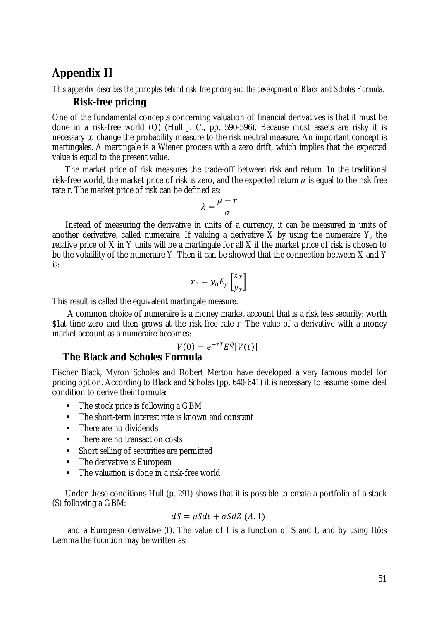### **Appendix II**

### This appendix describes the principles behind risk free pricing and the development of Black and Scholes Formula. **Risk-free pricing**

One of the fundamental concepts concerning valuation of financial derivatives is that it must be done in a risk-free world (Q) (Hull J. C., pp. 590-596). Because most assets are risky it is necessary to change the probability measure to the risk neutral measure. An important concept is martingales. A martingale is a Wiener process with a zero drift, which implies that the expected value is equal to the present value.

The market price of risk measures the trade-off between risk and return. In the traditional risk-free world, the market price of risk is zero, and the expected return  $\mu$  is equal to the risk free rate r. The market price of risk can be defined as:

$$
\lambda = \frac{\mu - r}{\sigma}
$$

Instead of measuring the derivative in units of a currency, it can be measured in units of another derivative, called numeraire*.* If valuing a derivative X by using the numeraire Y, the relative price of X in Y units will be a martingale for all X if the market price of risk is chosen to be the volatility of the numeraire Y. Then it can be showed that the connection between X and Y is:

$$
x_0 = y_0 E_y \left[\frac{x_T}{y_T}\right]
$$

This result is called the equivalent martingale measure.

A common choice of numeraire is a money market account that is a risk less security; worth \$1at time zero and then grows at the risk-free rate r. The value of a derivative with a money market account as a numeraire becomes:

$$
V(0) = e^{-rT} E^Q[V(t)]
$$

### **The Black and Scholes Formula**

Fischer Black, Myron Scholes and Robert Merton have developed a very famous model for pricing option. According to Black and Scholes (pp. 640-641) it is necessary to assume some ideal condition to derive their formula:

- The stock price is following a GBM
- The short-term interest rate is known and constant
- There are no dividends
- There are no transaction costs
- Short selling of securities are permitted
- The derivative is European
- The valuation is done in a risk-free world

Under these conditions Hull (p. 291) shows that it is possible to create a portfolio of a stock (S) following a GBM:

$$
dS = \mu S dt + \sigma S dZ (A.1)
$$

and a European derivative (f). The value of f is a function of S and t, and by using Itô:s Lemma the fucntion may be written as: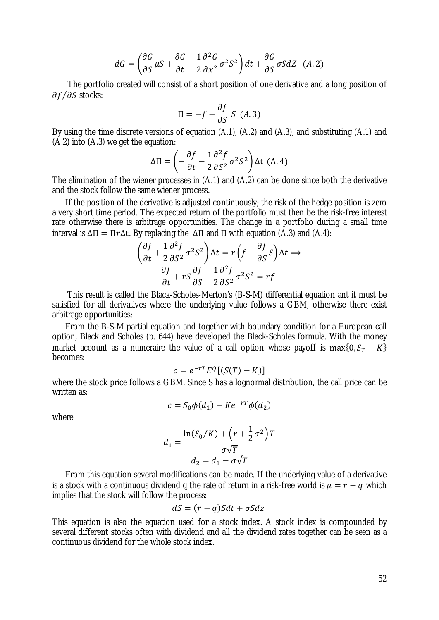$$
dG = \left(\frac{\partial G}{\partial S}\mu S + \frac{\partial G}{\partial t} + \frac{1}{2}\frac{\partial^2 G}{\partial x^2}\sigma^2 S^2\right)dt + \frac{\partial G}{\partial S}\sigma S dZ \quad (A.2)
$$

The portfolio created will consist of a short position of one derivative and a long position of  $\partial f/\partial S$  stocks:

$$
\Pi = -f + \frac{\partial f}{\partial S} S \ (A.3)
$$

By using the time discrete versions of equation (A.1), (A.2) and (A.3), and substituting (A.1) and  $(A.2)$  into  $(A.3)$  we get the equation:

$$
\Delta \Pi = \left( -\frac{\partial f}{\partial t} - \frac{1}{2} \frac{\partial^2 f}{\partial S^2} \sigma^2 S^2 \right) \Delta t \quad (A. 4)
$$

The elimination of the wiener processes in (A.1) and (A.2) can be done since both the derivative and the stock follow the same wiener process.

If the position of the derivative is adjusted continuously; the risk of the hedge position is zero a very short time period. The expected return of the portfolio must then be the risk-free interest rate otherwise there is arbitrage opportunities. The change in a portfolio during a small time interval is  $\Delta \Pi = \Pi r \Delta t$ . By replacing the  $\Delta \Pi$  and  $\Pi$  with equation (A.3) and (A.4):

$$
\left(\frac{\partial f}{\partial t} + \frac{1}{2} \frac{\partial^2 f}{\partial S^2} \sigma^2 S^2\right) \Delta t = r \left(f - \frac{\partial f}{\partial S} S\right) \Delta t \implies
$$

$$
\frac{\partial f}{\partial t} + rS \frac{\partial f}{\partial S} + \frac{1}{2} \frac{\partial^2 f}{\partial S^2} \sigma^2 S^2 = rf
$$

This result is called the Black-Scholes-Merton's (B-S-M) differential equation ant it must be satisfied for all derivatives where the underlying value follows a GBM, otherwise there exist arbitrage opportunities:

From the B-S-M partial equation and together with boundary condition for a European call option, Black and Scholes (p. 644) have developed the Black-Scholes formula. With the money market account as a numeraire the value of a call option whose payoff is max{0,  $S_T - K$ } becomes:

$$
c = e^{-rT} E^Q [(S(T) - K)]
$$

where the stock price follows a GBM. Since S has a lognormal distribution, the call price can be written as:

$$
c = S_0 \phi(d_1) - Ke^{-rT} \phi(d_2)
$$

where

$$
d_1 = \frac{\ln(S_0/K) + \left(r + \frac{1}{2}\sigma^2\right)T}{\sigma\sqrt{T}}
$$

$$
d_2 = d_1 - \sigma\sqrt{T}
$$

From this equation several modifications can be made. If the underlying value of a derivative is a stock with a continuous dividend q the rate of return in a risk-free world is  $\mu = r - q$  which implies that the stock will follow the process:

$$
dS = (r - q)Sdt + \sigma Sdz
$$

This equation is also the equation used for a stock index. A stock index is compounded by several different stocks often with dividend and all the dividend rates together can be seen as a continuous dividend for the whole stock index.